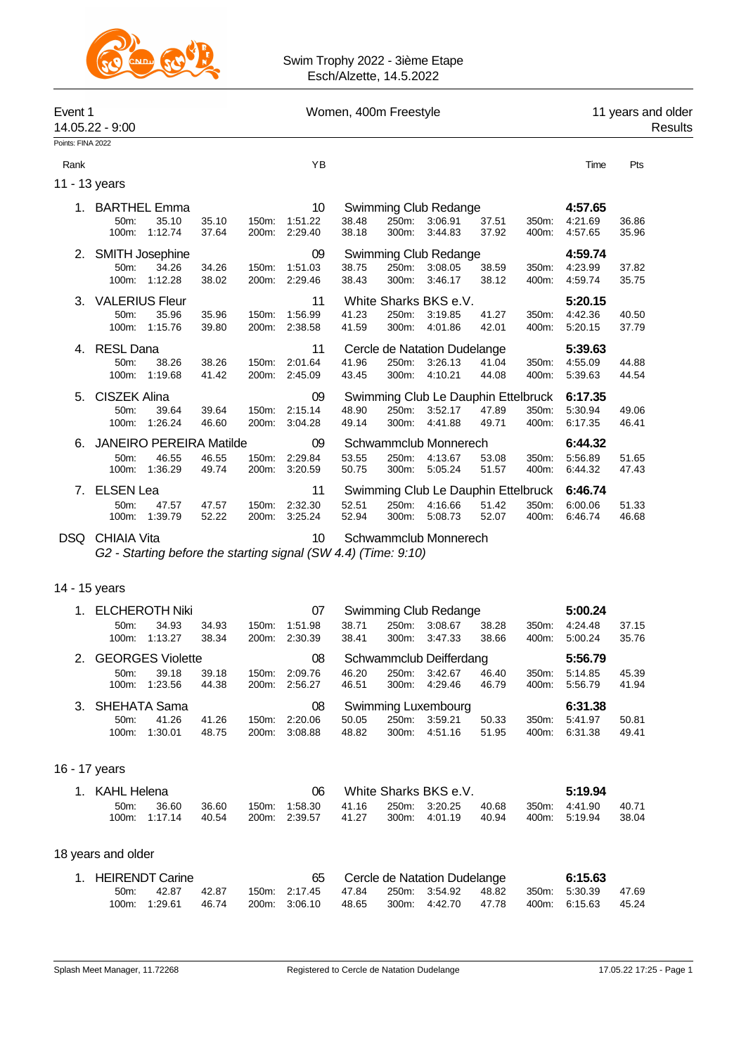

| Event 1<br>14.05.22 - 9:00 |                       |                                |                | Women, 400m Freestyle |                    |                |                |                                     |                | 11 years and older<br>Results |                    |                |  |
|----------------------------|-----------------------|--------------------------------|----------------|-----------------------|--------------------|----------------|----------------|-------------------------------------|----------------|-------------------------------|--------------------|----------------|--|
| Points: FINA 2022          |                       |                                |                |                       |                    |                |                |                                     |                |                               |                    |                |  |
| Rank                       |                       |                                |                |                       | YB                 |                |                |                                     |                |                               | Time               | Pts            |  |
|                            | 11 - 13 years         |                                |                |                       |                    |                |                |                                     |                |                               |                    |                |  |
| 1.                         | <b>BARTHEL Emma</b>   |                                |                |                       | 10                 |                |                | Swimming Club Redange               |                |                               | 4:57.65            |                |  |
|                            | 50m:<br>100m:         | 35.10<br>1:12.74               | 35.10<br>37.64 | 150m:<br>200m:        | 1:51.22<br>2:29.40 | 38.48<br>38.18 | 250m:<br>300m: | 3:06.91<br>3:44.83                  | 37.51<br>37.92 | 350m:<br>400m:                | 4:21.69<br>4:57.65 | 36.86<br>35.96 |  |
| 2.                         |                       | SMITH Josephine                |                |                       | 09                 |                |                | Swimming Club Redange               |                |                               | 4:59.74            |                |  |
|                            | 50m:                  | 34.26                          | 34.26          | 150m:                 | 1:51.03            | 38.75          | 250m:          | 3:08.05                             | 38.59          | 350m:                         | 4:23.99            | 37.82          |  |
|                            | 100m:                 | 1:12.28                        | 38.02          | 200 <sub>m</sub> :    | 2:29.46            | 38.43          | 300m:          | 3:46.17                             | 38.12          | 400m:                         | 4:59.74            | 35.75          |  |
| 3.                         | <b>VALERIUS Fleur</b> |                                |                |                       | 11                 |                |                | White Sharks BKS e.V.               |                |                               | 5:20.15            |                |  |
|                            | 50m:                  | 35.96                          | 35.96          | 150m:                 | 1:56.99            | 41.23          | 250m:          | 3:19.85                             | 41.27          | 350m:                         | 4:42.36            | 40.50          |  |
|                            | 100m:                 | 1:15.76                        | 39.80          | 200m:                 | 2:38.58            | 41.59          | 300m:          | 4:01.86                             | 42.01          | 400m:                         | 5:20.15            | 37.79          |  |
| 4.                         | <b>RESL Dana</b>      |                                |                |                       | 11                 |                |                | Cercle de Natation Dudelange        |                |                               | 5:39.63            |                |  |
|                            | 50m:                  | 38.26                          | 38.26          | 150m:                 | 2:01.64            | 41.96          | 250m:          | 3:26.13                             | 41.04          | 350m:                         | 4:55.09            | 44.88          |  |
|                            | 100m:                 | 1:19.68                        | 41.42          | 200m:                 | 2:45.09            | 43.45          | 300m:          | 4:10.21                             | 44.08          | 400m:                         | 5:39.63            | 44.54          |  |
| 5.                         | <b>CISZEK Alina</b>   |                                |                |                       | 09                 |                |                | Swimming Club Le Dauphin Ettelbruck |                |                               | 6:17.35            |                |  |
|                            | 50m:                  | 39.64                          | 39.64          | 150m:                 | 2:15.14            | 48.90          | 250m:          | 3:52.17                             | 47.89          | 350m:                         | 5:30.94            | 49.06          |  |
|                            | 100m:                 | 1:26.24                        | 46.60          | 200m:                 | 3:04.28            | 49.14          | 300m:          | 4:41.88                             | 49.71          | 400m:                         | 6:17.35            | 46.41          |  |
| 6.                         |                       | <b>JANEIRO PEREIRA Matilde</b> |                |                       | 09                 |                |                | Schwammclub Monnerech               |                |                               | 6:44.32            |                |  |
|                            | 50m:                  | 46.55                          | 46.55          | 150m:                 | 2:29.84            | 53.55          | 250m:          | 4:13.67                             | 53.08          | 350m:                         | 5:56.89            | 51.65          |  |
|                            | 100m:                 | 1:36.29                        | 49.74          | 200m:                 | 3:20.59            | 50.75          | 300m:          | 5:05.24                             | 51.57          | 400m:                         | 6:44.32            | 47.43          |  |
| 7.                         | <b>ELSEN Lea</b>      |                                |                |                       | 11                 |                |                | Swimming Club Le Dauphin Ettelbruck |                |                               | 6:46.74            |                |  |
|                            | 50m:                  | 47.57                          | 47.57          | 150m:                 | 2:32.30            | 52.51          | 250m:          | 4:16.66                             | 51.42          | 350m:                         | 6:00.06            | 51.33          |  |
|                            | 100m:                 | 1:39.79                        | 52.22          | 200m:                 | 3:25.24            | 52.94          | 300m:          | 5:08.73                             | 52.07          | 400m:                         | 6:46.74            | 46.68          |  |
|                            |                       |                                |                |                       |                    |                |                |                                     |                |                               |                    |                |  |

# DSQ CHIAIA Vita 10 Schwammclub Monnerech

*G2 - Starting before the starting signal (SW 4.4) (Time: 9:10)*

### 14 - 15 years

| 1       | <b>ELCHEROTH Niki</b> |                         |       |       | 07      | Swimming Club Redange |          |                         |       | 5:00.24          |         |       |
|---------|-----------------------|-------------------------|-------|-------|---------|-----------------------|----------|-------------------------|-------|------------------|---------|-------|
|         | 50m                   | 34.93                   | 34.93 | 150m: | 1.51.98 | 38.71                 | 250m:    | 3:08.67                 | 38.28 | 350 <sub>m</sub> | 4:24.48 | 37.15 |
|         | $100m$ :              | 1:13.27                 | 38.34 | 200m: | 2:30.39 | 38.41                 | $300m$ : | 3:47.33                 | 38.66 | 400m:            | 5:00.24 | 35.76 |
| $2_{1}$ |                       | <b>GEORGES Violette</b> |       |       | 08      |                       |          | Schwammclub Deifferdang |       |                  | 5:56.79 |       |
|         | 50m                   | 39.18                   | 39.18 | 150m: | 2:09.76 | 46.20                 | 250m:    | 3:42.67                 | 46.40 | 350m:            | 5:14.85 | 45.39 |
|         | $100m$ :              | 1:23.56                 | 44.38 | 200m: | 2:56.27 | 46.51                 | $300m$ : | 4:29.46                 | 46.79 | 400m:            | 5:56.79 | 41.94 |
|         | 3. SHEHATA Sama       |                         |       |       | 08      |                       |          | Swimming Luxembourg     |       |                  | 6:31.38 |       |
|         | $50m$ :               | 41.26                   | 41.26 | 150m: | 2:20.06 | 50.05                 | 250m:    | 3:59.21                 | 50.33 | 350 <sub>m</sub> | 5:41.97 | 50.81 |
|         | $100m$ :              | 1:30.01                 | 48.75 | 200m: | 3:08.88 | 48.82                 | $300m$ : | 4:51.16                 | 51.95 | 400m:            | 6:31.38 | 49.41 |

### 16 - 17 years

| 1. KAHL Helena  |               |       |  |               | White Sharks BKS e.V. |  |               |       | 5:19.94 |               |       |  |
|-----------------|---------------|-------|--|---------------|-----------------------|--|---------------|-------|---------|---------------|-------|--|
| 50 <sub>m</sub> | 36.60         | 36.60 |  | 150m: 1:58.30 | 41.16                 |  | 250m: 3:20.25 | 40.68 | 350m:   | 4:41.90       | 40.71 |  |
|                 | 100m: 1:17.14 | 40.54 |  | 200m: 2:39.57 | 41.27                 |  | 300m: 4:01.19 | 40.94 |         | 400m: 5:19.94 | 38.04 |  |

### 18 years and older

| 1. HEIRENDT Carine |               |       |                                     | Cercle de Natation Dudelange |  |                     |       | 6:15.63 |               |       |
|--------------------|---------------|-------|-------------------------------------|------------------------------|--|---------------------|-------|---------|---------------|-------|
| 50m:               | 42.87         | 42.87 | 150 m: 2:17.45 47.84 250 m: 3:54.92 |                              |  |                     | 48.82 |         | 350m: 5:30.39 | 47.69 |
|                    | 100m: 1:29.61 | 46.74 | 200m: 3:06.10                       | 48.65                        |  | 300m: 4.42.70 47.78 |       |         | 400m: 6:15.63 | 45.24 |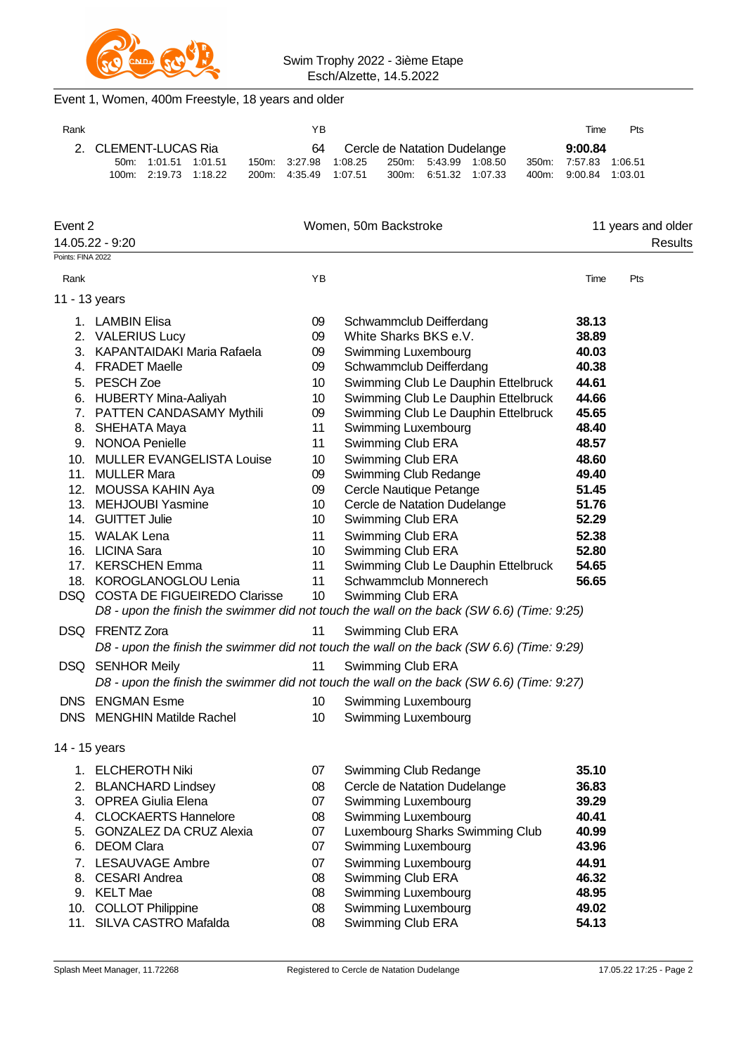

## Event 1, Women, 400m Freestyle, 18 years and older

| Rank |                      |                                              |  |  | YΒ                              |                                             |                       |  | Time                                           | Pts |
|------|----------------------|----------------------------------------------|--|--|---------------------------------|---------------------------------------------|-----------------------|--|------------------------------------------------|-----|
|      | 2. CLEMENT-LUCAS Ria |                                              |  |  | 64 Cercle de Natation Dudelange |                                             | 9:00.84               |  |                                                |     |
|      |                      | 50m: 1:01.51 1:01.51<br>100m 2:19.73 1:18.22 |  |  | 200m: 4:35.49 1:07.51           | 150m: 3:27.98 1:08.25 250m: 5:43.99 1:08.50 | 300m: 6.51.32 1.07.33 |  | 350m: 7:57.83 1:06.51<br>400m: 9:00.84 1:03.01 |     |

| Event 2           |                                  |                 | Women, 50m Backstroke                                                                     |       | 11 years and older |
|-------------------|----------------------------------|-----------------|-------------------------------------------------------------------------------------------|-------|--------------------|
|                   | 14.05.22 - 9:20                  |                 |                                                                                           |       | Results            |
| Points: FINA 2022 |                                  |                 |                                                                                           |       |                    |
| Rank              |                                  | YB              |                                                                                           | Time  | Pts                |
| 11 - 13 years     |                                  |                 |                                                                                           |       |                    |
|                   | 1. LAMBIN Elisa                  | 09              | Schwammclub Deifferdang                                                                   | 38.13 |                    |
|                   | 2. VALERIUS Lucy                 | 09              | White Sharks BKS e.V.                                                                     | 38.89 |                    |
|                   | 3. KAPANTAIDAKI Maria Rafaela    | 09              | Swimming Luxembourg                                                                       | 40.03 |                    |
|                   | 4. FRADET Maelle                 | 09              | Schwammclub Deifferdang                                                                   | 40.38 |                    |
|                   | 5. PESCH Zoe                     | 10              | Swimming Club Le Dauphin Ettelbruck                                                       | 44.61 |                    |
|                   | 6. HUBERTY Mina-Aaliyah          | 10              | Swimming Club Le Dauphin Ettelbruck                                                       | 44.66 |                    |
|                   | 7. PATTEN CANDASAMY Mythili      | 09              | Swimming Club Le Dauphin Ettelbruck                                                       | 45.65 |                    |
|                   | 8. SHEHATA Maya                  | 11              | Swimming Luxembourg                                                                       | 48.40 |                    |
|                   | 9. NONOA Penielle                | 11              | Swimming Club ERA                                                                         | 48.57 |                    |
|                   | 10. MULLER EVANGELISTA Louise    | 10              | Swimming Club ERA                                                                         | 48.60 |                    |
|                   | 11. MULLER Mara                  | 09              | Swimming Club Redange                                                                     | 49.40 |                    |
|                   | 12. MOUSSA KAHIN Aya             | 09              | Cercle Nautique Petange                                                                   | 51.45 |                    |
|                   | 13. MEHJOUBI Yasmine             | 10              | Cercle de Natation Dudelange                                                              | 51.76 |                    |
|                   | 14. GUITTET Julie                | 10              | Swimming Club ERA                                                                         | 52.29 |                    |
|                   | 15. WALAK Lena                   | 11              | Swimming Club ERA                                                                         | 52.38 |                    |
|                   | 16. LICINA Sara                  | 10              | Swimming Club ERA                                                                         | 52.80 |                    |
|                   | 17. KERSCHEN Emma                | 11              | Swimming Club Le Dauphin Ettelbruck                                                       | 54.65 |                    |
|                   | 18. KOROGLANOGLOU Lenia          | 11              | Schwammclub Monnerech                                                                     | 56.65 |                    |
|                   | DSQ COSTA DE FIGUEIREDO Clarisse | 10 <sup>°</sup> | Swimming Club ERA                                                                         |       |                    |
|                   |                                  |                 | D8 - upon the finish the swimmer did not touch the wall on the back (SW 6.6) (Time: 9:25) |       |                    |
|                   | DSQ FRENTZ Zora                  | 11              | Swimming Club ERA                                                                         |       |                    |
|                   |                                  |                 | D8 - upon the finish the swimmer did not touch the wall on the back (SW 6.6) (Time: 9:29) |       |                    |
|                   | DSQ SENHOR Meily                 | 11              | Swimming Club ERA                                                                         |       |                    |
|                   |                                  |                 | D8 - upon the finish the swimmer did not touch the wall on the back (SW 6.6) (Time: 9:27) |       |                    |
|                   | DNS ENGMAN Esme                  | 10              | Swimming Luxembourg                                                                       |       |                    |
|                   | DNS MENGHIN Matilde Rachel       | 10              | Swimming Luxembourg                                                                       |       |                    |
|                   |                                  |                 |                                                                                           |       |                    |
| 14 - 15 years     |                                  |                 |                                                                                           |       |                    |
|                   | 1. ELCHEROTH Niki                | 07              | Swimming Club Redange                                                                     | 35.10 |                    |
| 2.                | <b>BLANCHARD Lindsey</b>         | 08              | Cercle de Natation Dudelange                                                              | 36.83 |                    |
| 3.                | <b>OPREA Giulia Elena</b>        | 07              | Swimming Luxembourg                                                                       | 39.29 |                    |
| 4.                | <b>CLOCKAERTS Hannelore</b>      | 08              | Swimming Luxembourg                                                                       | 40.41 |                    |
| 5.                | <b>GONZALEZ DA CRUZ Alexia</b>   | 07              | Luxembourg Sharks Swimming Club                                                           | 40.99 |                    |
| 6.                | <b>DEOM Clara</b>                | 07              | Swimming Luxembourg                                                                       | 43.96 |                    |
| 7.                | <b>LESAUVAGE Ambre</b>           | 07              | Swimming Luxembourg                                                                       | 44.91 |                    |
| 8.                | <b>CESARI</b> Andrea             | 08              | Swimming Club ERA                                                                         | 46.32 |                    |
|                   | 9. KELT Mae                      | 08              | Swimming Luxembourg                                                                       | 48.95 |                    |
|                   | 10. COLLOT Philippine            | 08              | Swimming Luxembourg                                                                       | 49.02 |                    |
| 11.               | SILVA CASTRO Mafalda             | 08              | Swimming Club ERA                                                                         | 54.13 |                    |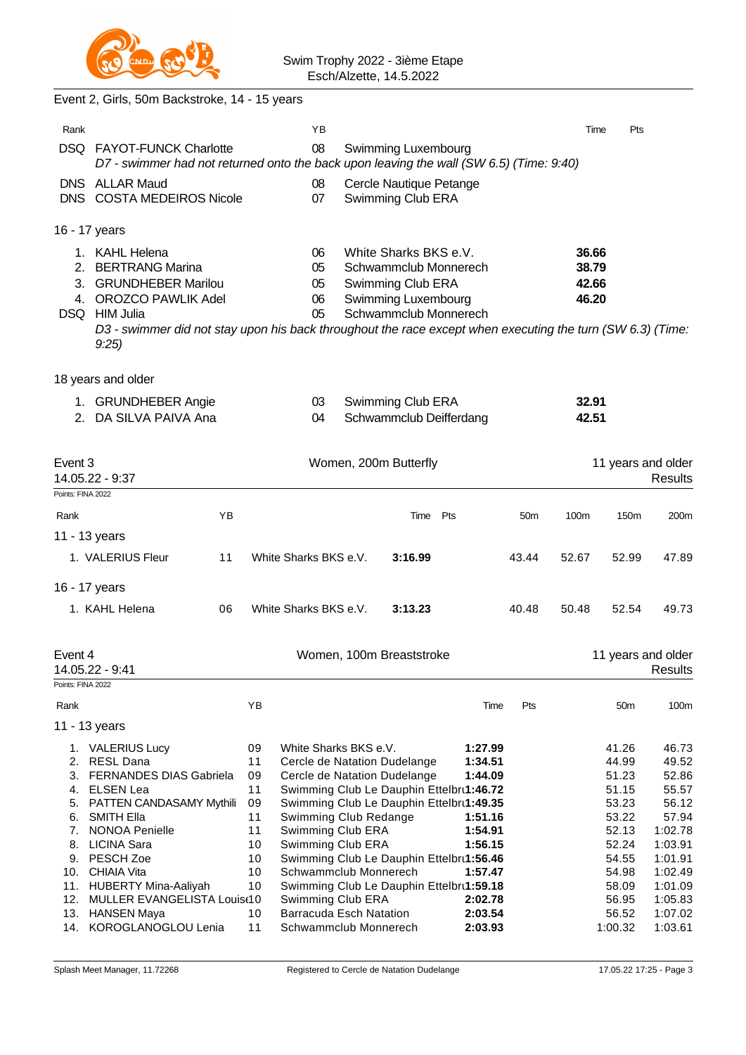

# Event 2, Girls, 50m Backstroke, 14 - 15 years

|                        | DA SILVA PAIVA Ana                                                                                                   | 04                         | Schwammclub Deifferdang                                                                                                                                                                                                           | 42.51                            |     |
|------------------------|----------------------------------------------------------------------------------------------------------------------|----------------------------|-----------------------------------------------------------------------------------------------------------------------------------------------------------------------------------------------------------------------------------|----------------------------------|-----|
| 1.<br>$\mathcal{P}$    | <b>GRUNDHEBER Angie</b>                                                                                              | 03                         | Swimming Club ERA                                                                                                                                                                                                                 | 32.91                            |     |
|                        | 18 years and older                                                                                                   |                            |                                                                                                                                                                                                                                   |                                  |     |
| 2.<br>3.<br>4.<br>DSQ. | KAHL Helena<br><b>BERTRANG Marina</b><br><b>GRUNDHEBER Marilou</b><br>OROZCO PAWLIK Adel<br><b>HIM Julia</b><br>9:25 | 06<br>05<br>05<br>06<br>05 | White Sharks BKS e.V.<br>Schwammclub Monnerech<br>Swimming Club ERA<br>Swimming Luxembourg<br>Schwammclub Monnerech<br>D3 - swimmer did not stay upon his back throughout the race except when executing the turn (SW 6.3) (Time: | 36.66<br>38.79<br>42.66<br>46.20 |     |
|                        | 16 - 17 years                                                                                                        |                            |                                                                                                                                                                                                                                   |                                  |     |
|                        | DNS ALLAR Maud<br>DNS COSTA MEDEIROS Nicole                                                                          | 08<br>07                   | Cercle Nautique Petange<br>Swimming Club ERA                                                                                                                                                                                      |                                  |     |
| Rank                   | DSQ FAYOT-FUNCK Charlotte                                                                                            | YB<br>08                   | Swimming Luxembourg<br>D7 - swimmer had not returned onto the back upon leaving the wall (SW 6.5) (Time: 9:40)                                                                                                                    | Time                             | Pts |
|                        |                                                                                                                      |                            |                                                                                                                                                                                                                                   |                                  |     |

| Event 3 | 14.05.22 - 9:37                |    | Women, 200m Butterfly                    |         |     |         |                 |       | 11 years and older<br><b>Results</b> |                    |  |  |
|---------|--------------------------------|----|------------------------------------------|---------|-----|---------|-----------------|-------|--------------------------------------|--------------------|--|--|
|         | Points: FINA 2022              |    |                                          |         |     |         |                 |       |                                      |                    |  |  |
| Rank    | YB                             |    |                                          | Time    | Pts |         | 50 <sub>m</sub> | 100m  | 150m                                 | 200 <sub>m</sub>   |  |  |
|         | 11 - 13 years                  |    |                                          |         |     |         |                 |       |                                      |                    |  |  |
|         | 1. VALERIUS Fleur<br>11        |    | White Sharks BKS e.V.                    | 3:16.99 |     |         | 43.44           | 52.67 | 52.99                                | 47.89              |  |  |
|         | 16 - 17 years                  |    |                                          |         |     |         |                 |       |                                      |                    |  |  |
|         | 06<br>1. KAHL Helena           |    | White Sharks BKS e.V.                    | 3:13.23 |     |         | 40.48           | 50.48 | 52.54                                | 49.73              |  |  |
| Event 4 |                                |    | Women, 100m Breaststroke                 |         |     |         |                 |       |                                      | 11 years and older |  |  |
|         | 14.05.22 - 9:41                |    |                                          |         |     |         |                 |       |                                      | Results            |  |  |
|         | Points: FINA 2022              |    |                                          |         |     |         |                 |       |                                      |                    |  |  |
| Rank    |                                | YB |                                          |         |     | Time    | Pts             |       | 50 <sub>m</sub>                      | 100m               |  |  |
|         | 11 - 13 years                  |    |                                          |         |     |         |                 |       |                                      |                    |  |  |
|         | 1. VALERIUS Lucy               | 09 | White Sharks BKS e.V.                    |         |     | 1:27.99 |                 |       | 41.26                                | 46.73              |  |  |
| 2.      | <b>RESL Dana</b>               | 11 | Cercle de Natation Dudelange             |         |     | 1:34.51 |                 |       | 44.99                                | 49.52              |  |  |
| 3.      | <b>FERNANDES DIAS Gabriela</b> | 09 | Cercle de Natation Dudelange             |         |     | 1:44.09 |                 |       | 51.23                                | 52.86              |  |  |
| 4.      | <b>ELSEN Lea</b>               | 11 | Swimming Club Le Dauphin Ettelbru1:46.72 |         |     |         |                 |       | 51.15                                | 55.57              |  |  |
| 5.      | PATTEN CANDASAMY Mythili       | 09 | Swimming Club Le Dauphin Ettelbru1:49.35 |         |     |         |                 |       | 53.23                                | 56.12              |  |  |
| 6.      | <b>SMITH Ella</b>              | 11 | Swimming Club Redange                    |         |     | 1:51.16 |                 |       | 53.22                                | 57.94              |  |  |
| 7.      | <b>NONOA Penielle</b>          | 11 | Swimming Club ERA                        |         |     | 1:54.91 |                 |       | 52.13                                | 1:02.78            |  |  |
| 8.      | <b>LICINA Sara</b>             | 10 | Swimming Club ERA                        |         |     | 1:56.15 |                 |       | 52.24                                | 1:03.91            |  |  |
| 9.      | PESCH Zoe                      | 10 | Swimming Club Le Dauphin Ettelbru1:56.46 |         |     |         |                 |       | 54.55                                | 1:01.91            |  |  |
| 10.     | <b>CHIAIA Vita</b>             | 10 | Schwammclub Monnerech                    |         |     | 1:57.47 |                 |       | 54.98                                | 1:02.49            |  |  |
| 11.     | HUBERTY Mina-Aaliyah           | 10 | Swimming Club Le Dauphin Ettelbru1:59.18 |         |     |         |                 |       | 58.09                                | 1:01.09            |  |  |
| 12.     | MULLER EVANGELISTA Louis(10    |    | Swimming Club ERA                        |         |     | 2:02.78 |                 |       | 56.95                                | 1:05.83            |  |  |
| 13.     | <b>HANSEN Maya</b>             | 10 | <b>Barracuda Esch Natation</b>           |         |     | 2:03.54 |                 |       | 56.52                                | 1:07.02            |  |  |
|         | 14. KOROGLANOGLOU Lenia        | 11 | Schwammclub Monnerech                    |         |     | 2:03.93 |                 |       | 1:00.32                              | 1:03.61            |  |  |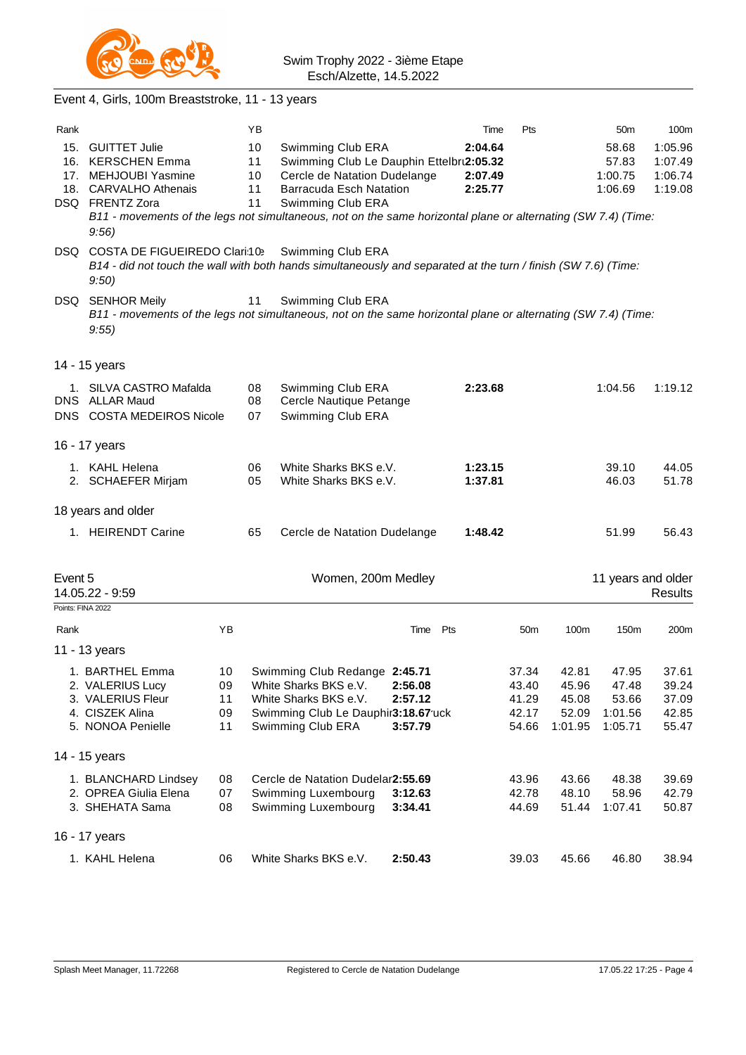

|                              | Event 4, Girls, 100m Breaststroke, 11 - 13 years                                                                                                                                                                                    |                            |                            |                                                                                                                                               |                               |     |                               |                                           |                                             |                                               |                                           |
|------------------------------|-------------------------------------------------------------------------------------------------------------------------------------------------------------------------------------------------------------------------------------|----------------------------|----------------------------|-----------------------------------------------------------------------------------------------------------------------------------------------|-------------------------------|-----|-------------------------------|-------------------------------------------|---------------------------------------------|-----------------------------------------------|-------------------------------------------|
| Rank                         |                                                                                                                                                                                                                                     |                            | ΥB                         |                                                                                                                                               |                               |     | Time                          | Pts                                       |                                             | 50 <sub>m</sub>                               | 100m                                      |
|                              | 15. GUITTET Julie<br>16. KERSCHEN Emma<br>17. MEHJOUBI Yasmine<br>18. CARVALHO Athenais<br>DSQ FRENTZ Zora<br>B11 - movements of the legs not simultaneous, not on the same horizontal plane or alternating (SW 7.4) (Time:<br>9:56 |                            | 10<br>11<br>10<br>11<br>11 | Swimming Club ERA<br>Swimming Club Le Dauphin Ettelbru2:05.32<br>Cercle de Natation Dudelange<br>Barracuda Esch Natation<br>Swimming Club ERA |                               |     | 2:04.64<br>2:07.49<br>2:25.77 |                                           |                                             | 58.68<br>57.83<br>1:00.75<br>1:06.69          | 1:05.96<br>1:07.49<br>1:06.74<br>1:19.08  |
|                              | DSQ COSTA DE FIGUEIREDO Clari:10><br>B14 - did not touch the wall with both hands simultaneously and separated at the turn / finish (SW 7.6) (Time:<br>9:50)                                                                        |                            |                            | Swimming Club ERA                                                                                                                             |                               |     |                               |                                           |                                             |                                               |                                           |
|                              | DSQ SENHOR Meily<br>B11 - movements of the legs not simultaneous, not on the same horizontal plane or alternating (SW 7.4) (Time:<br>9:55                                                                                           |                            | 11                         | Swimming Club ERA                                                                                                                             |                               |     |                               |                                           |                                             |                                               |                                           |
|                              | 14 - 15 years                                                                                                                                                                                                                       |                            |                            |                                                                                                                                               |                               |     |                               |                                           |                                             |                                               |                                           |
|                              | 1. SILVA CASTRO Mafalda<br>DNS ALLAR Maud<br>DNS COSTA MEDEIROS Nicole                                                                                                                                                              |                            | 08<br>08<br>07             | Swimming Club ERA<br>Cercle Nautique Petange<br>Swimming Club ERA                                                                             |                               |     | 2:23.68                       |                                           |                                             | 1:04.56                                       | 1:19.12                                   |
|                              | 16 - 17 years                                                                                                                                                                                                                       |                            |                            |                                                                                                                                               |                               |     |                               |                                           |                                             |                                               |                                           |
|                              | 1. KAHL Helena<br>2. SCHAEFER Mirjam                                                                                                                                                                                                |                            | 06<br>05                   | White Sharks BKS e.V.<br>White Sharks BKS e.V.                                                                                                |                               |     | 1:23.15<br>1:37.81            |                                           |                                             | 39.10<br>46.03                                | 44.05<br>51.78                            |
|                              | 18 years and older                                                                                                                                                                                                                  |                            |                            |                                                                                                                                               |                               |     |                               |                                           |                                             |                                               |                                           |
|                              | 1. HEIRENDT Carine                                                                                                                                                                                                                  |                            | 65                         | Cercle de Natation Dudelange                                                                                                                  |                               |     | 1:48.42                       |                                           |                                             | 51.99                                         | 56.43                                     |
| Event 5<br>Points: FINA 2022 | 14.05.22 - 9:59                                                                                                                                                                                                                     |                            |                            | Women, 200m Medley                                                                                                                            |                               |     |                               |                                           |                                             | 11 years and older                            | <b>Results</b>                            |
| Rank                         |                                                                                                                                                                                                                                     | ΥB                         |                            |                                                                                                                                               | Time                          | Pts |                               | 50m                                       | 100m                                        | 150m                                          | 200m                                      |
|                              | 11 - 13 years                                                                                                                                                                                                                       |                            |                            |                                                                                                                                               |                               |     |                               |                                           |                                             |                                               |                                           |
|                              | 1. BARTHEL Emma<br>2. VALERIUS Lucy<br>3. VALERIUS Fleur<br>4. CISZEK Alina<br>5. NONOA Penielle                                                                                                                                    | 10<br>09<br>11<br>09<br>11 |                            | Swimming Club Redange 2:45.71<br>White Sharks BKS e.V.<br>White Sharks BKS e.V.<br>Swimming Club Le Dauphir3:18.67 uck<br>Swimming Club ERA   | 2:56.08<br>2:57.12<br>3:57.79 |     |                               | 37.34<br>43.40<br>41.29<br>42.17<br>54.66 | 42.81<br>45.96<br>45.08<br>52.09<br>1:01.95 | 47.95<br>47.48<br>53.66<br>1:01.56<br>1:05.71 | 37.61<br>39.24<br>37.09<br>42.85<br>55.47 |
|                              | 14 - 15 years                                                                                                                                                                                                                       |                            |                            |                                                                                                                                               |                               |     |                               |                                           |                                             |                                               |                                           |
|                              | 1. BLANCHARD Lindsey<br>2. OPREA Giulia Elena<br>3. SHEHATA Sama                                                                                                                                                                    | 08<br>07<br>08             |                            | Cercle de Natation Dudelar2:55.69<br>Swimming Luxembourg<br>Swimming Luxembourg                                                               | 3:12.63<br>3:34.41            |     |                               | 43.96<br>42.78<br>44.69                   | 43.66<br>48.10<br>51.44                     | 48.38<br>58.96<br>1:07.41                     | 39.69<br>42.79<br>50.87                   |
|                              | 16 - 17 years                                                                                                                                                                                                                       |                            |                            |                                                                                                                                               |                               |     |                               |                                           |                                             |                                               |                                           |
|                              | 1. KAHL Helena                                                                                                                                                                                                                      | 06                         |                            | White Sharks BKS e.V.                                                                                                                         | 2:50.43                       |     |                               | 39.03                                     | 45.66                                       | 46.80                                         | 38.94                                     |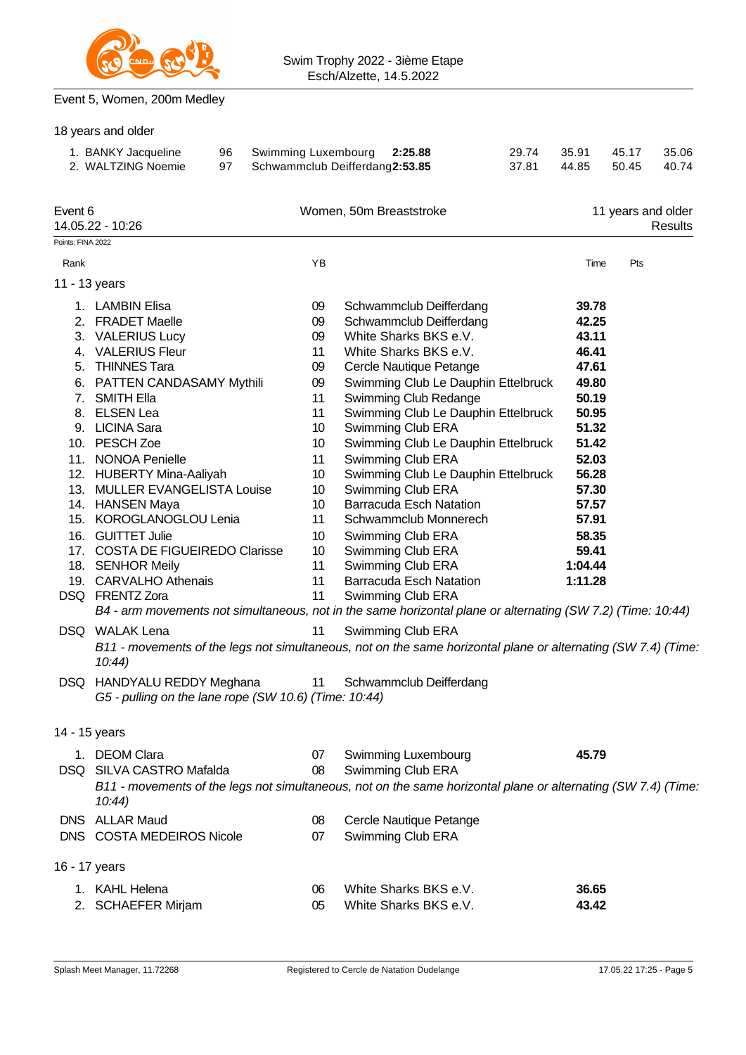

## Event 5, Women, 200m Medley

|                   | 18 years and older                                                                                                                                                                                                                                                                                                                                                                                                                        |          |                     |                                                                                                                |                                                                                                                                                                                                                                                                                                                                                                                                                                                                                                                                                 |                |                                                                                                                                                                             |                    |                |
|-------------------|-------------------------------------------------------------------------------------------------------------------------------------------------------------------------------------------------------------------------------------------------------------------------------------------------------------------------------------------------------------------------------------------------------------------------------------------|----------|---------------------|----------------------------------------------------------------------------------------------------------------|-------------------------------------------------------------------------------------------------------------------------------------------------------------------------------------------------------------------------------------------------------------------------------------------------------------------------------------------------------------------------------------------------------------------------------------------------------------------------------------------------------------------------------------------------|----------------|-----------------------------------------------------------------------------------------------------------------------------------------------------------------------------|--------------------|----------------|
|                   | 1. BANKY Jacqueline<br>2. WALTZING Noemie                                                                                                                                                                                                                                                                                                                                                                                                 | 96<br>97 | Swimming Luxembourg | Schwammclub Deifferdang2:53.85                                                                                 | 2:25.88                                                                                                                                                                                                                                                                                                                                                                                                                                                                                                                                         | 29.74<br>37.81 | 35.91<br>44.85                                                                                                                                                              | 45.17<br>50.45     | 35.06<br>40.74 |
| Event 6           | 14.05.22 - 10:26                                                                                                                                                                                                                                                                                                                                                                                                                          |          |                     |                                                                                                                | Women, 50m Breaststroke                                                                                                                                                                                                                                                                                                                                                                                                                                                                                                                         |                |                                                                                                                                                                             | 11 years and older | Results        |
| Points: FINA 2022 |                                                                                                                                                                                                                                                                                                                                                                                                                                           |          |                     |                                                                                                                |                                                                                                                                                                                                                                                                                                                                                                                                                                                                                                                                                 |                |                                                                                                                                                                             |                    |                |
| Rank              |                                                                                                                                                                                                                                                                                                                                                                                                                                           |          |                     | YB                                                                                                             |                                                                                                                                                                                                                                                                                                                                                                                                                                                                                                                                                 |                | Time                                                                                                                                                                        | Pts                |                |
| 11 - 13 years     |                                                                                                                                                                                                                                                                                                                                                                                                                                           |          |                     |                                                                                                                |                                                                                                                                                                                                                                                                                                                                                                                                                                                                                                                                                 |                |                                                                                                                                                                             |                    |                |
|                   | 1. LAMBIN Elisa<br>2. FRADET Maelle<br>3. VALERIUS Lucy<br>4. VALERIUS Fleur<br>5. THINNES Tara<br>6. PATTEN CANDASAMY Mythili<br>7. SMITH Ella<br>8. ELSEN Lea<br>9. LICINA Sara<br>10. PESCH Zoe<br>11. NONOA Penielle<br>12. HUBERTY Mina-Aaliyah<br>13. MULLER EVANGELISTA Louise<br>14. HANSEN Maya<br>15. KOROGLANOGLOU Lenia<br>16. GUITTET Julie<br>17. COSTA DE FIGUEIREDO Clarisse<br>18. SENHOR Meily<br>19. CARVALHO Athenais |          |                     | 09<br>09<br>09<br>11<br>09<br>09<br>11<br>11<br>10<br>10<br>11<br>10<br>10<br>10<br>11<br>10<br>10<br>11<br>11 | Schwammclub Deifferdang<br>Schwammclub Deifferdang<br>White Sharks BKS e.V.<br>White Sharks BKS e.V.<br>Cercle Nautique Petange<br>Swimming Club Le Dauphin Ettelbruck<br>Swimming Club Redange<br>Swimming Club Le Dauphin Ettelbruck<br>Swimming Club ERA<br>Swimming Club Le Dauphin Ettelbruck<br>Swimming Club ERA<br>Swimming Club Le Dauphin Ettelbruck<br>Swimming Club ERA<br><b>Barracuda Esch Natation</b><br>Schwammclub Monnerech<br>Swimming Club ERA<br>Swimming Club ERA<br>Swimming Club ERA<br><b>Barracuda Esch Natation</b> |                | 39.78<br>42.25<br>43.11<br>46.41<br>47.61<br>49.80<br>50.19<br>50.95<br>51.32<br>51.42<br>52.03<br>56.28<br>57.30<br>57.57<br>57.91<br>58.35<br>59.41<br>1:04.44<br>1:11.28 |                    |                |
|                   | DSQ FRENTZ Zora                                                                                                                                                                                                                                                                                                                                                                                                                           |          |                     | 11                                                                                                             | Swimming Club ERA                                                                                                                                                                                                                                                                                                                                                                                                                                                                                                                               |                |                                                                                                                                                                             |                    |                |
|                   | B4 - arm movements not simultaneous, not in the same horizontal plane or alternating (SW 7.2) (Time: 10:44)                                                                                                                                                                                                                                                                                                                               |          |                     |                                                                                                                |                                                                                                                                                                                                                                                                                                                                                                                                                                                                                                                                                 |                |                                                                                                                                                                             |                    |                |
|                   | DSQ WALAK Lena<br>B11 - movements of the legs not simultaneous, not on the same horizontal plane or alternating (SW 7.4) (Time:<br>10:44<br>DSQ HANDYALU REDDY Meghana<br>G5 - pulling on the lane rope (SW 10.6) (Time: 10:44)                                                                                                                                                                                                           |          |                     | 11<br>11                                                                                                       | Swimming Club ERA<br>Schwammclub Deifferdang                                                                                                                                                                                                                                                                                                                                                                                                                                                                                                    |                |                                                                                                                                                                             |                    |                |
| 14 - 15 years     |                                                                                                                                                                                                                                                                                                                                                                                                                                           |          |                     |                                                                                                                |                                                                                                                                                                                                                                                                                                                                                                                                                                                                                                                                                 |                |                                                                                                                                                                             |                    |                |
|                   | 1. DEOM Clara<br>DSQ SILVA CASTRO Mafalda<br>B11 - movements of the legs not simultaneous, not on the same horizontal plane or alternating (SW 7.4) (Time:<br>$10:44$ )                                                                                                                                                                                                                                                                   |          |                     | 07<br>08                                                                                                       | Swimming Luxembourg<br>Swimming Club ERA                                                                                                                                                                                                                                                                                                                                                                                                                                                                                                        |                | 45.79                                                                                                                                                                       |                    |                |
|                   | DNS ALLAR Maud<br>DNS COSTA MEDEIROS Nicole                                                                                                                                                                                                                                                                                                                                                                                               |          |                     | 08<br>07                                                                                                       | Cercle Nautique Petange<br>Swimming Club ERA                                                                                                                                                                                                                                                                                                                                                                                                                                                                                                    |                |                                                                                                                                                                             |                    |                |
| 16 - 17 years     |                                                                                                                                                                                                                                                                                                                                                                                                                                           |          |                     |                                                                                                                |                                                                                                                                                                                                                                                                                                                                                                                                                                                                                                                                                 |                |                                                                                                                                                                             |                    |                |
|                   | 1. KAHL Helena<br>2. SCHAEFER Mirjam                                                                                                                                                                                                                                                                                                                                                                                                      |          |                     | 06<br>05                                                                                                       | White Sharks BKS e.V.<br>White Sharks BKS e.V.                                                                                                                                                                                                                                                                                                                                                                                                                                                                                                  |                | 36.65<br>43.42                                                                                                                                                              |                    |                |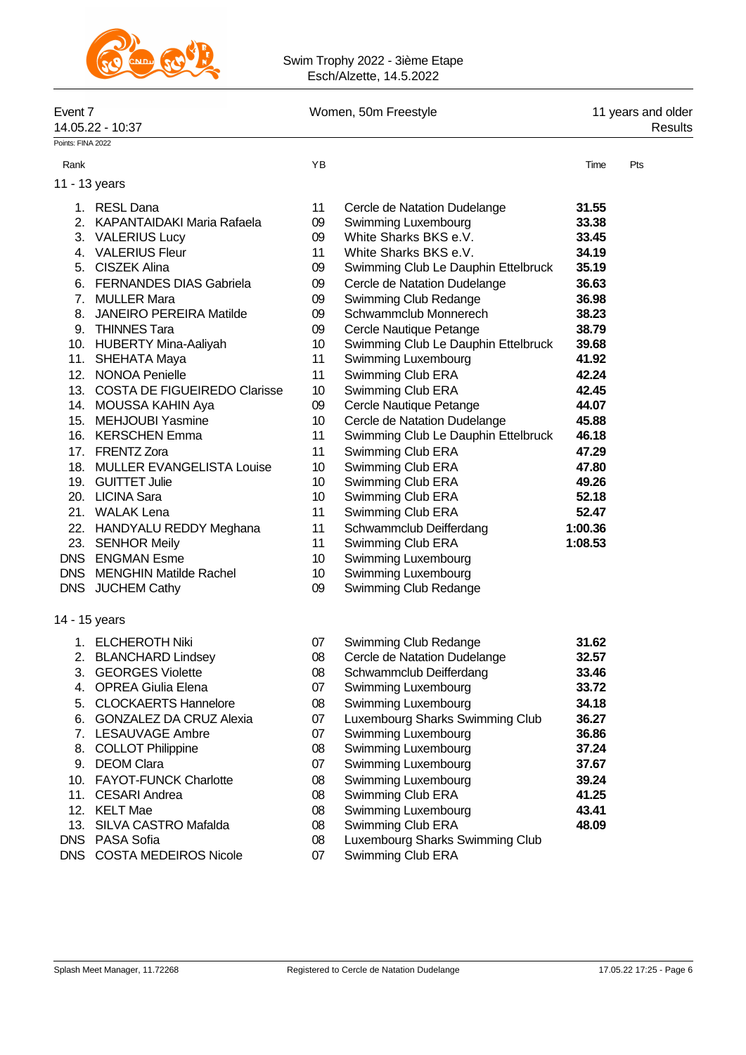

#### Swim Trophy 2022 - 3ième Etape Esch/Alzette, 14.5.2022

|                   | Event 7<br>14.05.22 - 10:37      |                 | Women, 50m Freestyle                | 11 years and older<br>Results |     |  |
|-------------------|----------------------------------|-----------------|-------------------------------------|-------------------------------|-----|--|
| Points: FINA 2022 |                                  |                 |                                     |                               |     |  |
| Rank              |                                  | YB              |                                     | Time                          | Pts |  |
|                   | 11 - 13 years                    |                 |                                     |                               |     |  |
|                   | 1. RESL Dana                     | 11              | Cercle de Natation Dudelange        | 31.55                         |     |  |
|                   | 2. KAPANTAIDAKI Maria Rafaela    | 09              | Swimming Luxembourg                 | 33.38                         |     |  |
|                   | 3. VALERIUS Lucy                 | 09              | White Sharks BKS e.V.               | 33.45                         |     |  |
|                   | 4. VALERIUS Fleur                | 11              | White Sharks BKS e.V.               | 34.19                         |     |  |
|                   | 5. CISZEK Alina                  | 09              | Swimming Club Le Dauphin Ettelbruck | 35.19                         |     |  |
|                   | 6. FERNANDES DIAS Gabriela       | 09              | Cercle de Natation Dudelange        | 36.63                         |     |  |
|                   | 7. MULLER Mara                   | 09              | Swimming Club Redange               | 36.98                         |     |  |
|                   | 8. JANEIRO PEREIRA Matilde       | 09              | Schwammclub Monnerech               | 38.23                         |     |  |
|                   | 9. THINNES Tara                  | 09              | Cercle Nautique Petange             | 38.79                         |     |  |
|                   | 10. HUBERTY Mina-Aaliyah         | 10              | Swimming Club Le Dauphin Ettelbruck | 39.68                         |     |  |
|                   | 11. SHEHATA Maya                 | 11              | Swimming Luxembourg                 | 41.92                         |     |  |
|                   | 12. NONOA Penielle               | 11              | Swimming Club ERA                   | 42.24                         |     |  |
|                   | 13. COSTA DE FIGUEIREDO Clarisse | 10 <sup>°</sup> | Swimming Club ERA                   | 42.45                         |     |  |
|                   | 14. MOUSSA KAHIN Aya             | 09              | Cercle Nautique Petange             | 44.07                         |     |  |
|                   | 15. MEHJOUBI Yasmine             | 10 <sup>°</sup> | Cercle de Natation Dudelange        | 45.88                         |     |  |
|                   | 16. KERSCHEN Emma                | 11              | Swimming Club Le Dauphin Ettelbruck | 46.18                         |     |  |
|                   | 17. FRENTZ Zora                  | 11              | Swimming Club ERA                   | 47.29                         |     |  |
|                   | 18. MULLER EVANGELISTA Louise    | 10              | Swimming Club ERA                   | 47.80                         |     |  |
|                   | 19. GUITTET Julie                | 10              | Swimming Club ERA                   | 49.26                         |     |  |
|                   | 20. LICINA Sara                  | 10              | Swimming Club ERA                   | 52.18                         |     |  |
|                   | 21. WALAK Lena                   | 11              | Swimming Club ERA                   | 52.47                         |     |  |
|                   | 22. HANDYALU REDDY Meghana       | 11              | Schwammclub Deifferdang             | 1:00.36                       |     |  |
|                   | 23. SENHOR Meily                 | 11              | Swimming Club ERA                   | 1:08.53                       |     |  |
|                   | DNS ENGMAN Esme                  | 10              | Swimming Luxembourg                 |                               |     |  |
|                   | DNS MENGHIN Matilde Rachel       | 10              | Swimming Luxembourg                 |                               |     |  |
|                   | DNS JUCHEM Cathy                 | 09              | Swimming Club Redange               |                               |     |  |
|                   | 14 - 15 years                    |                 |                                     |                               |     |  |
|                   | 1. ELCHEROTH Niki                | 07              | Swimming Club Redange               | 31.62                         |     |  |
| 2.                | <b>BLANCHARD Lindsey</b>         | 08              | Cercle de Natation Dudelange        | 32.57                         |     |  |
|                   | 3. GEORGES Violette              | 08              | Schwammclub Deifferdang             | 33.46                         |     |  |
|                   | 4. OPREA Giulia Elena            | 07              | Swimming Luxembourg                 | 33.72                         |     |  |
|                   | 5. CLOCKAERTS Hannelore          | 08              | Swimming Luxembourg                 | 34.18                         |     |  |
|                   | 6. GONZALEZ DA CRUZ Alexia       | 07              | Luxembourg Sharks Swimming Club     | 36.27                         |     |  |
|                   | 7. LESAUVAGE Ambre               | 07              | Swimming Luxembourg                 | 36.86                         |     |  |
|                   | 8. COLLOT Philippine             | 08              | Swimming Luxembourg                 | 37.24                         |     |  |
|                   | 9. DEOM Clara                    | 07              | Swimming Luxembourg                 | 37.67                         |     |  |
|                   | 10. FAYOT-FUNCK Charlotte        | 08              | Swimming Luxembourg                 | 39.24                         |     |  |
|                   | 11. CESARI Andrea                | 08              | Swimming Club ERA                   | 41.25                         |     |  |
|                   | 12. KELT Mae                     | 08              | Swimming Luxembourg                 | 43.41                         |     |  |
|                   | 13. SILVA CASTRO Mafalda         | 08              | Swimming Club ERA                   | 48.09                         |     |  |
|                   | DNS PASA Sofia                   | 08              | Luxembourg Sharks Swimming Club     |                               |     |  |
|                   | DNS COSTA MEDEIROS Nicole        | 07              | Swimming Club ERA                   |                               |     |  |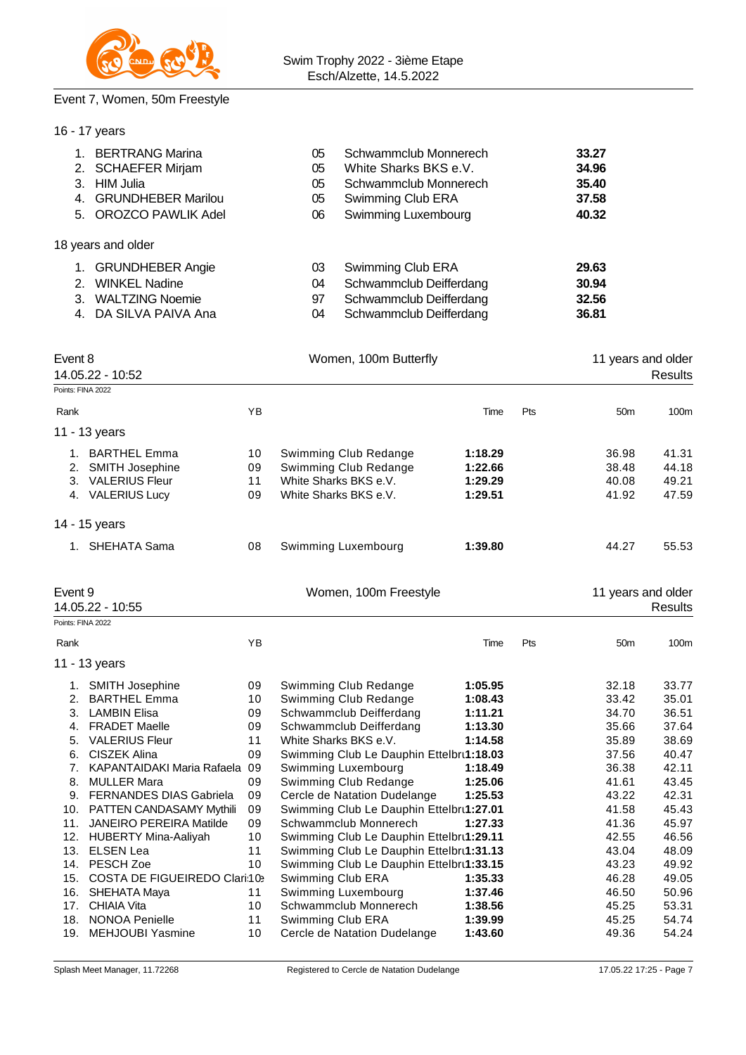

### Event 7, Women, 50m Freestyle

|                                                     | 16 - 17 years                                                                                                                                                                                                                                                                                    |                                                                |                                                                                                                                                                                                                                                                                                                                |                                                                                                 |     |                                                                                                 |                                                                                                 |
|-----------------------------------------------------|--------------------------------------------------------------------------------------------------------------------------------------------------------------------------------------------------------------------------------------------------------------------------------------------------|----------------------------------------------------------------|--------------------------------------------------------------------------------------------------------------------------------------------------------------------------------------------------------------------------------------------------------------------------------------------------------------------------------|-------------------------------------------------------------------------------------------------|-----|-------------------------------------------------------------------------------------------------|-------------------------------------------------------------------------------------------------|
| 4.<br>5.                                            | 1. BERTRANG Marina<br>2. SCHAEFER Mirjam<br>3. HIM Julia<br><b>GRUNDHEBER Marilou</b><br><b>OROZCO PAWLIK Adel</b>                                                                                                                                                                               |                                                                | Schwammclub Monnerech<br>05<br>White Sharks BKS e.V.<br>05<br>Schwammclub Monnerech<br>05<br>05<br>Swimming Club ERA<br>06<br>Swimming Luxembourg                                                                                                                                                                              |                                                                                                 |     | 33.27<br>34.96<br>35.40<br>37.58<br>40.32                                                       |                                                                                                 |
|                                                     | 18 years and older                                                                                                                                                                                                                                                                               |                                                                |                                                                                                                                                                                                                                                                                                                                |                                                                                                 |     |                                                                                                 |                                                                                                 |
|                                                     | 1. GRUNDHEBER Angie<br>2. WINKEL Nadine<br>3. WALTZING Noemie<br>4. DA SILVA PAIVA Ana                                                                                                                                                                                                           |                                                                | Swimming Club ERA<br>03<br>Schwammclub Deifferdang<br>04<br>Schwammclub Deifferdang<br>97<br>Schwammclub Deifferdang<br>04                                                                                                                                                                                                     |                                                                                                 |     | 29.63<br>30.94<br>32.56<br>36.81                                                                |                                                                                                 |
| Event 8                                             | 14.05.22 - 10:52                                                                                                                                                                                                                                                                                 |                                                                | Women, 100m Butterfly                                                                                                                                                                                                                                                                                                          |                                                                                                 |     | 11 years and older                                                                              | <b>Results</b>                                                                                  |
| Points: FINA 2022<br>Rank                           |                                                                                                                                                                                                                                                                                                  | ΥB                                                             |                                                                                                                                                                                                                                                                                                                                | Time                                                                                            | Pts | 50 <sub>m</sub>                                                                                 | 100m                                                                                            |
|                                                     | 11 - 13 years                                                                                                                                                                                                                                                                                    |                                                                |                                                                                                                                                                                                                                                                                                                                |                                                                                                 |     |                                                                                                 |                                                                                                 |
|                                                     | 1. BARTHEL Emma<br>2. SMITH Josephine<br>3. VALERIUS Fleur<br>4. VALERIUS Lucy                                                                                                                                                                                                                   | 10<br>09<br>11<br>09                                           | Swimming Club Redange<br>Swimming Club Redange<br>White Sharks BKS e.V.<br>White Sharks BKS e.V.                                                                                                                                                                                                                               | 1:18.29<br>1:22.66<br>1:29.29<br>1:29.51                                                        |     | 36.98<br>38.48<br>40.08<br>41.92                                                                | 41.31<br>44.18<br>49.21<br>47.59                                                                |
|                                                     | 14 - 15 years                                                                                                                                                                                                                                                                                    |                                                                |                                                                                                                                                                                                                                                                                                                                |                                                                                                 |     |                                                                                                 |                                                                                                 |
|                                                     | 1. SHEHATA Sama                                                                                                                                                                                                                                                                                  | 08                                                             | Swimming Luxembourg                                                                                                                                                                                                                                                                                                            | 1:39.80                                                                                         |     | 44.27                                                                                           | 55.53                                                                                           |
| Event 9                                             | 14.05.22 - 10:55                                                                                                                                                                                                                                                                                 |                                                                | Women, 100m Freestyle                                                                                                                                                                                                                                                                                                          |                                                                                                 |     | 11 years and older                                                                              | <b>Results</b>                                                                                  |
| Points: FINA 2022                                   |                                                                                                                                                                                                                                                                                                  |                                                                |                                                                                                                                                                                                                                                                                                                                |                                                                                                 |     |                                                                                                 |                                                                                                 |
| Rank                                                |                                                                                                                                                                                                                                                                                                  | YB                                                             |                                                                                                                                                                                                                                                                                                                                | Time                                                                                            | Pts | 50 <sub>m</sub>                                                                                 | 100m                                                                                            |
|                                                     | 11 - 13 years                                                                                                                                                                                                                                                                                    |                                                                |                                                                                                                                                                                                                                                                                                                                |                                                                                                 |     |                                                                                                 |                                                                                                 |
| 1.<br>2.<br>3.<br>4.<br>5.<br>6.<br>7.<br>8.<br>11. | <b>SMITH Josephine</b><br><b>BARTHEL Emma</b><br><b>LAMBIN Elisa</b><br><b>FRADET Maelle</b><br><b>VALERIUS Fleur</b><br><b>CISZEK Alina</b><br>KAPANTAIDAKI Maria Rafaela<br><b>MULLER Mara</b><br>9. FERNANDES DIAS Gabriela<br>10. PATTEN CANDASAMY Mythili<br><b>JANEIRO PEREIRA Matilde</b> | 09<br>10<br>09<br>09<br>11<br>09<br>09<br>09<br>09<br>09<br>09 | Swimming Club Redange<br>Swimming Club Redange<br>Schwammclub Deifferdang<br>Schwammclub Deifferdang<br>White Sharks BKS e.V.<br>Swimming Club Le Dauphin Ettelbru1:18.03<br>Swimming Luxembourg<br>Swimming Club Redange<br>Cercle de Natation Dudelange<br>Swimming Club Le Dauphin Ettelbru1:27.01<br>Schwammclub Monnerech | 1:05.95<br>1:08.43<br>1:11.21<br>1:13.30<br>1:14.58<br>1:18.49<br>1:25.06<br>1:25.53<br>1:27.33 |     | 32.18<br>33.42<br>34.70<br>35.66<br>35.89<br>37.56<br>36.38<br>41.61<br>43.22<br>41.58<br>41.36 | 33.77<br>35.01<br>36.51<br>37.64<br>38.69<br>40.47<br>42.11<br>43.45<br>42.31<br>45.43<br>45.97 |
|                                                     | 12. HUBERTY Mina-Aaliyah<br>13. ELSEN Lea<br>14. PESCH Zoe                                                                                                                                                                                                                                       | 10<br>11<br>10                                                 | Swimming Club Le Dauphin Ettelbru1:29.11<br>Swimming Club Le Dauphin Ettelbru1:31.13<br>Swimming Club Le Dauphin Ettelbru1:33.15                                                                                                                                                                                               |                                                                                                 |     | 42.55<br>43.04<br>43.23                                                                         | 46.56<br>48.09<br>49.92                                                                         |
|                                                     | 15. COSTA DE FIGUEIREDO Clari:10><br>16. SHEHATA Maya                                                                                                                                                                                                                                            | 11                                                             | Swimming Club ERA<br>Swimming Luxembourg                                                                                                                                                                                                                                                                                       | 1:35.33<br>1:37.46                                                                              |     | 46.28<br>46.50                                                                                  | 49.05<br>50.96                                                                                  |

18. NONOA Penielle **11 Swimming Club ERA** 1:39.99 45.25 54.74<br>19. MEHJOUBI Yasmine 10 Cercle de Natation Dudelange 1:43.60 49.36 54.24 19. MEHJOUBI Yasmine 10 Cercle de Natation Dudelange **1:43.60** 49.36 54.24

17. CHIAIA Vita 10 Schwammclub Monnerech **1:38.56** 45.25 53.31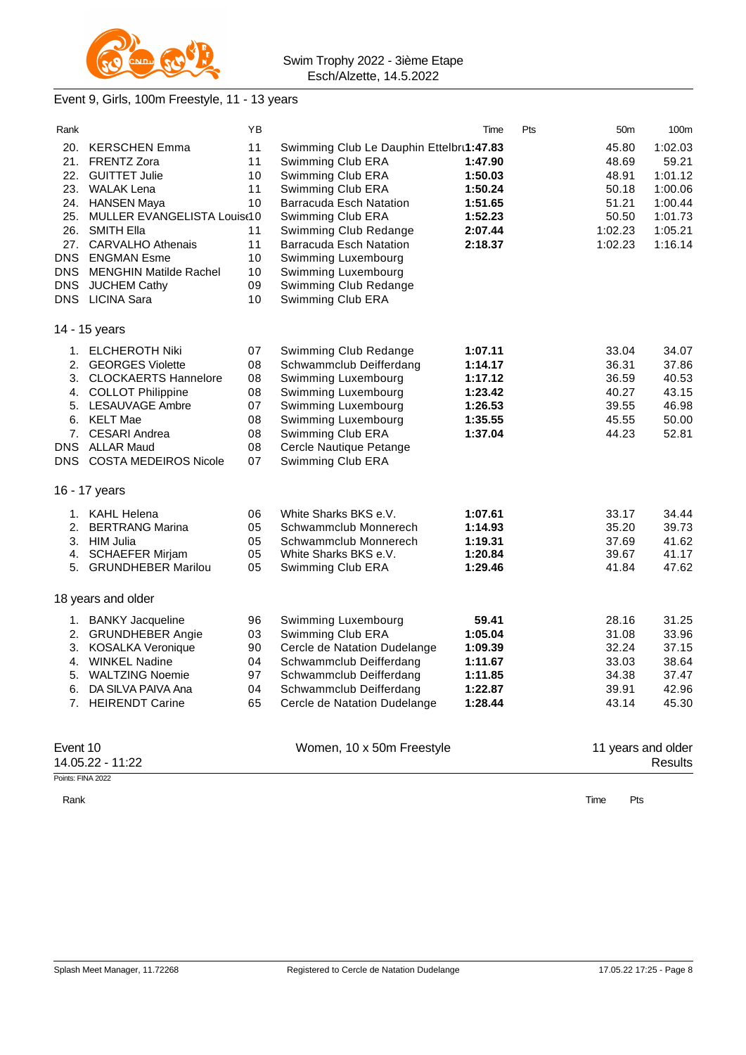

## Event 9, Girls, 100m Freestyle, 11 - 13 years

| Rank              |                                 | ΥB |                                          | Time    | Pts | 50 <sub>m</sub>    | 100m           |
|-------------------|---------------------------------|----|------------------------------------------|---------|-----|--------------------|----------------|
| 20.               | <b>KERSCHEN Emma</b>            | 11 | Swimming Club Le Dauphin Ettelbrt1:47.83 |         |     | 45.80              | 1:02.03        |
| 21.               | <b>FRENTZ Zora</b>              | 11 | Swimming Club ERA                        | 1:47.90 |     | 48.69              | 59.21          |
|                   | 22. GUITTET Julie               | 10 | Swimming Club ERA                        | 1:50.03 |     | 48.91              | 1:01.12        |
|                   | 23. WALAK Lena                  | 11 | Swimming Club ERA                        | 1:50.24 |     | 50.18              | 1:00.06        |
|                   | 24. HANSEN Maya                 | 10 | Barracuda Esch Natation                  | 1:51.65 |     | 51.21              | 1:00.44        |
|                   | 25. MULLER EVANGELISTA Louist10 |    | Swimming Club ERA                        | 1:52.23 |     | 50.50              | 1:01.73        |
|                   | 26. SMITH Ella                  | 11 | Swimming Club Redange                    | 2:07.44 |     | 1:02.23            | 1:05.21        |
| 27.               | <b>CARVALHO Athenais</b>        | 11 | <b>Barracuda Esch Natation</b>           | 2:18.37 |     | 1:02.23            | 1:16.14        |
| <b>DNS</b>        | <b>ENGMAN Esme</b>              | 10 | Swimming Luxembourg                      |         |     |                    |                |
| <b>DNS</b>        | <b>MENGHIN Matilde Rachel</b>   | 10 | Swimming Luxembourg                      |         |     |                    |                |
| <b>DNS</b>        | <b>JUCHEM Cathy</b>             | 09 | Swimming Club Redange                    |         |     |                    |                |
|                   | DNS LICINA Sara                 | 10 | Swimming Club ERA                        |         |     |                    |                |
|                   | 14 - 15 years                   |    |                                          |         |     |                    |                |
|                   | 1. ELCHEROTH Niki               | 07 | Swimming Club Redange                    | 1:07.11 |     | 33.04              | 34.07          |
| 2.                | <b>GEORGES Violette</b>         | 08 | Schwammclub Deifferdang                  | 1:14.17 |     | 36.31              | 37.86          |
|                   | 3. CLOCKAERTS Hannelore         | 08 | Swimming Luxembourg                      | 1:17.12 |     | 36.59              | 40.53          |
|                   | 4. COLLOT Philippine            | 08 | Swimming Luxembourg                      | 1:23.42 |     | 40.27              | 43.15          |
|                   | 5. LESAUVAGE Ambre              | 07 | Swimming Luxembourg                      | 1:26.53 |     | 39.55              | 46.98          |
|                   | 6. KELT Mae                     | 08 | Swimming Luxembourg                      | 1:35.55 |     | 45.55              | 50.00          |
|                   | 7. CESARI Andrea                | 08 | Swimming Club ERA                        | 1:37.04 |     | 44.23              | 52.81          |
|                   | DNS ALLAR Maud                  | 08 | Cercle Nautique Petange                  |         |     |                    |                |
|                   | DNS COSTA MEDEIROS Nicole       | 07 | Swimming Club ERA                        |         |     |                    |                |
|                   | 16 - 17 years                   |    |                                          |         |     |                    |                |
|                   | 1. KAHL Helena                  | 06 | White Sharks BKS e.V.                    | 1:07.61 |     | 33.17              | 34.44          |
| 2.                | <b>BERTRANG Marina</b>          | 05 | Schwammclub Monnerech                    | 1:14.93 |     | 35.20              | 39.73          |
|                   | 3. HIM Julia                    | 05 | Schwammclub Monnerech                    | 1:19.31 |     | 37.69              | 41.62          |
| 4.                | <b>SCHAEFER Mirjam</b>          | 05 | White Sharks BKS e.V.                    | 1:20.84 |     | 39.67              | 41.17          |
|                   | 5. GRUNDHEBER Marilou           | 05 | Swimming Club ERA                        | 1:29.46 |     | 41.84              | 47.62          |
|                   | 18 years and older              |    |                                          |         |     |                    |                |
|                   | 1. BANKY Jacqueline             | 96 | Swimming Luxembourg                      | 59.41   |     | 28.16              | 31.25          |
|                   | 2. GRUNDHEBER Angie             | 03 | Swimming Club ERA                        | 1:05.04 |     | 31.08              | 33.96          |
| 3.                | <b>KOSALKA Veronique</b>        | 90 | Cercle de Natation Dudelange             | 1:09.39 |     | 32.24              | 37.15          |
| 4.                | <b>WINKEL Nadine</b>            | 04 | Schwammclub Deifferdang                  | 1:11.67 |     | 33.03              | 38.64          |
|                   | 5. WALTZING Noemie              | 97 | Schwammclub Deifferdang                  | 1:11.85 |     | 34.38              | 37.47          |
| 6.                | DA SILVA PAIVA Ana              | 04 | Schwammclub Deifferdang                  | 1:22.87 |     | 39.91              | 42.96          |
|                   | 7. HEIRENDT Carine              | 65 | Cercle de Natation Dudelange             | 1:28.44 |     | 43.14              | 45.30          |
|                   |                                 |    |                                          |         |     |                    |                |
| Event 10          |                                 |    | Women, 10 x 50m Freestyle                |         |     | 11 years and older |                |
|                   | 14.05.22 - 11:22                |    |                                          |         |     |                    | <b>Results</b> |
| Points: FINA 2022 |                                 |    |                                          |         |     |                    |                |

Rank **Time Pts**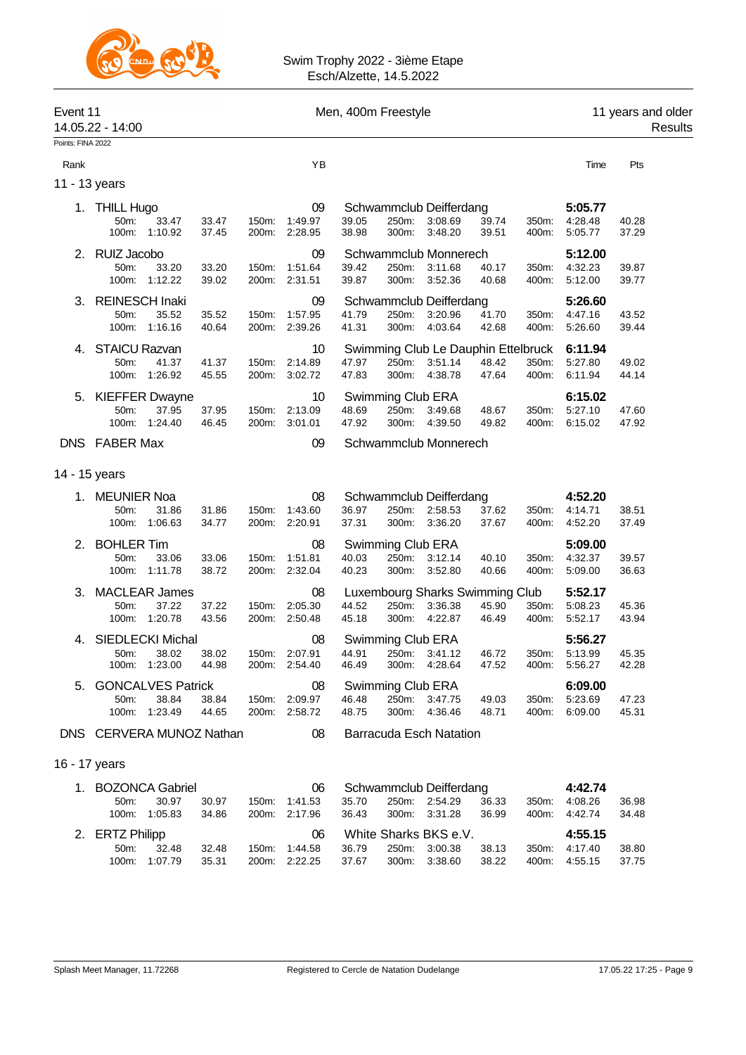

| Event 11<br>14.05.22 - 14:00 |                                |                                                        |                |                | Men, 400m Freestyle                  |                              |                   |                                                                 |                | 11 years and older<br>Results |                                           |                |
|------------------------------|--------------------------------|--------------------------------------------------------|----------------|----------------|--------------------------------------|------------------------------|-------------------|-----------------------------------------------------------------|----------------|-------------------------------|-------------------------------------------|----------------|
| Points: FINA 2022            |                                |                                                        |                |                |                                      |                              |                   |                                                                 |                |                               |                                           |                |
| Rank                         |                                |                                                        |                |                | YB                                   |                              |                   |                                                                 |                |                               | Time                                      | Pts            |
| 11 - 13 years                |                                |                                                        |                |                |                                      |                              |                   |                                                                 |                |                               |                                           |                |
|                              | 1. THILL Hugo<br>50m:<br>100m: | 33.47<br>1:10.92                                       | 33.47<br>37.45 | 150m:<br>200m: | 09<br>1:49.97<br>2:28.95             | 39.05<br>38.98               | 250m:<br>300m:    | Schwammclub Deifferdang<br>3:08.69<br>3:48.20                   | 39.74<br>39.51 | 350m:<br>400m:                | 5:05.77<br>4:28.48<br>5:05.77             | 40.28<br>37.29 |
|                              | 2. RUIZ Jacobo<br>50m:         | 33.20<br>100m: 1:12.22                                 | 33.20<br>39.02 | 150m:<br>200m: | 09<br>1:51.64<br>2:31.51             | 39.42<br>39.87               | 250m:<br>300m:    | Schwammclub Monnerech<br>3:11.68<br>3:52.36                     | 40.17<br>40.68 | 350m:<br>400m:                | 5:12.00<br>4:32.23<br>5:12.00             | 39.87<br>39.77 |
|                              | 3. REINESCH Inaki<br>50m:      | 35.52<br>100m: 1:16.16                                 | 35.52<br>40.64 | 150m:<br>200m: | 09<br>1:57.95<br>2:39.26             | 41.79<br>41.31               | 250m:<br>300m:    | Schwammclub Deifferdang<br>3:20.96<br>4:03.64                   | 41.70<br>42.68 | 350m:<br>400m:                | 5:26.60<br>4:47.16<br>5:26.60             | 43.52<br>39.44 |
| 4.                           | <b>STAICU Razvan</b><br>50m:   | 41.37<br>100m: 1:26.92                                 | 41.37<br>45.55 | 150m:          | 10<br>2:14.89<br>200m: 3:02.72       | 47.97<br>47.83               | 250m:             | Swimming Club Le Dauphin Ettelbruck<br>3:51.14<br>300m: 4:38.78 | 48.42<br>47.64 | 350m:<br>400m:                | 6:11.94<br>5:27.80<br>6:11.94             | 49.02<br>44.14 |
|                              | 50m:<br>100m:                  | 5. KIEFFER Dwayne<br>37.95<br>1.24.40                  | 37.95<br>46.45 | 150m:<br>200m: | 10<br>2:13.09<br>3:01.01             | 48.69<br>47.92               | 300m:             | Swimming Club ERA<br>250m: 3:49.68<br>4:39.50                   | 48.67<br>49.82 | 350m:<br>400m:                | 6:15.02<br>5:27.10<br>6:15.02             | 47.60<br>47.92 |
|                              | DNS FABER Max                  |                                                        |                |                | 09                                   |                              |                   | Schwammclub Monnerech                                           |                |                               |                                           |                |
|                              |                                |                                                        |                |                |                                      |                              |                   |                                                                 |                |                               |                                           |                |
| 14 - 15 years                |                                |                                                        |                |                |                                      |                              |                   |                                                                 |                |                               |                                           |                |
| 1.                           | <b>MEUNIER Noa</b><br>50m:     | 31.86<br>100m: 1:06.63                                 | 31.86<br>34.77 | 150m:          | 08<br>1:43.60<br>200m: 2:20.91       | 36.97<br>37.31               | 250m:<br>300m:    | Schwammclub Deifferdang<br>2:58.53<br>3:36.20                   | 37.62<br>37.67 | 350m:<br>400m:                | 4:52.20<br>4:14.71<br>4:52.20             | 38.51<br>37.49 |
| 2.                           | <b>BOHLER Tim</b><br>50m:      | 33.06<br>100m: 1:11.78                                 | 33.06<br>38.72 | 150m:          | 08<br>1:51.81<br>200m: 2:32.04       | 40.03<br>40.23               | 250m:             | Swimming Club ERA<br>3:12.14<br>300m: 3:52.80                   | 40.10<br>40.66 | 350m:<br>400m:                | 5:09.00<br>4:32.37<br>5:09.00             | 39.57<br>36.63 |
|                              | 50m:<br>100m:                  | 3. MACLEAR James<br>37.22<br>1:20.78                   | 37.22<br>43.56 | 150m:          | 08<br>2:05.30<br>200m: 2:50.48       | 44.52<br>45.18               | 300m:             | Luxembourg Sharks Swimming Club<br>250m: 3:36.38<br>4:22.87     | 45.90<br>46.49 | 350m:<br>400m:                | 5:52.17<br>5:08.23<br>5:52.17             | 45.36<br>43.94 |
| 4.                           |                                | <b>SIEDLECKI Michal</b><br>50m: 38.02<br>100m: 1:23.00 | 38.02<br>44.98 |                | 08<br>150m: 2:07.91<br>200m: 2:54.40 | 44.91 250m: 3:41.12<br>46.49 | Swimming Club ERA | 300m: 4:28.64                                                   | 46.72<br>47.52 |                               | 5:56.27<br>350m: 5:13.99<br>400m: 5:56.27 | 45.35<br>42.28 |
|                              | 50m:                           | 5. GONCALVES Patrick<br>38.84<br>100m: 1:23.49         | 38.84<br>44.65 |                | 08<br>150m: 2:09.97<br>200m: 2:58.72 | 46.48<br>48.75               |                   | Swimming Club ERA<br>250m: 3:47.75<br>300m: 4:36.46             | 49.03<br>48.71 | 350m:<br>400m:                | 6:09.00<br>5:23.69<br>6:09.00             | 47.23<br>45.31 |
|                              |                                | DNS CERVERA MUNOZ Nathan                               |                |                | 08                                   |                              |                   | <b>Barracuda Esch Natation</b>                                  |                |                               |                                           |                |
| 16 - 17 years                |                                |                                                        |                |                |                                      |                              |                   |                                                                 |                |                               |                                           |                |
|                              |                                |                                                        |                |                |                                      |                              |                   |                                                                 |                |                               |                                           |                |
|                              | 50m:                           | 1. BOZONCA Gabriel<br>30.97<br>100m: 1:05.83           | 30.97<br>34.86 |                | 06<br>150m: 1:41.53<br>200m: 2:17.96 | 35.70<br>36.43               |                   | Schwammclub Deifferdang<br>250m: 2:54.29<br>300m: 3:31.28       | 36.33<br>36.99 | 350m:<br>400m:                | 4:42.74<br>4:08.26<br>4:42.74             | 36.98<br>34.48 |
|                              | 2. ERTZ Philipp<br>50m:        | 32.48<br>100m: 1:07.79                                 | 32.48<br>35.31 |                | 06<br>150m: 1:44.58<br>200m: 2:22.25 | 36.79<br>37.67               |                   | White Sharks BKS e.V.<br>250m: 3:00.38<br>300m: 3:38.60         | 38.13<br>38.22 | 350m:<br>400m:                | 4:55.15<br>4:17.40<br>4:55.15             | 38.80<br>37.75 |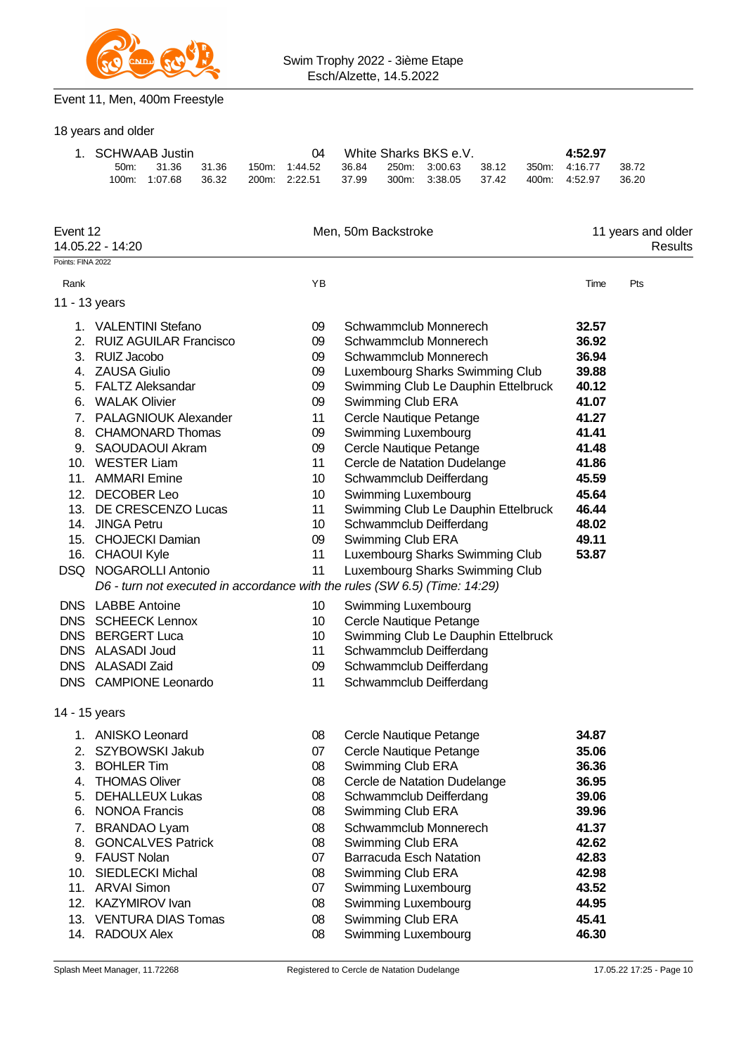

## Event 11, Men, 400m Freestyle

18 years and older

| 1. SCHWAAB Justin |               |       |       |  | White Sharks BKS e.V. |       |  |               | 4:52.97 |       |         |       |
|-------------------|---------------|-------|-------|--|-----------------------|-------|--|---------------|---------|-------|---------|-------|
| 50m               |               | 31.36 | 31.36 |  | 150m: 1:44.52         | 36.84 |  | 250m: 3:00.63 | 38.12   | 350m: | 4.16.77 | 38.72 |
|                   | 100m: 1:07.68 |       | 36.32 |  | 200m. 2:22.51         | 37.99 |  | 300m: 3:38.05 | 37.42   | 400m: | 4:52.97 | 36.20 |

| Event 12<br>14.05.22 - 14:20 |                                                                            |    | Men, 50m Backstroke                 | 11 years and older<br>Results |     |  |
|------------------------------|----------------------------------------------------------------------------|----|-------------------------------------|-------------------------------|-----|--|
| Points: FINA 2022            |                                                                            |    |                                     |                               |     |  |
| Rank                         |                                                                            | YB |                                     | Time                          | Pts |  |
| 11 - 13 years                |                                                                            |    |                                     |                               |     |  |
|                              | 1. VALENTINI Stefano                                                       | 09 | Schwammclub Monnerech               | 32.57                         |     |  |
| 2.                           | <b>RUIZ AGUILAR Francisco</b>                                              | 09 | Schwammclub Monnerech               | 36.92                         |     |  |
|                              | 3. RUIZ Jacobo                                                             | 09 | Schwammclub Monnerech               | 36.94                         |     |  |
|                              | 4. ZAUSA Giulio                                                            | 09 | Luxembourg Sharks Swimming Club     | 39.88                         |     |  |
|                              | 5. FALTZ Aleksandar                                                        | 09 | Swimming Club Le Dauphin Ettelbruck | 40.12                         |     |  |
|                              | 6. WALAK Olivier                                                           | 09 | Swimming Club ERA                   | 41.07                         |     |  |
| 7.                           | <b>PALAGNIOUK Alexander</b>                                                | 11 | Cercle Nautique Petange             | 41.27                         |     |  |
|                              | 8. CHAMONARD Thomas                                                        | 09 | Swimming Luxembourg                 | 41.41                         |     |  |
|                              | 9. SAOUDAOUI Akram                                                         | 09 | Cercle Nautique Petange             | 41.48                         |     |  |
|                              | 10. WESTER Liam                                                            | 11 | Cercle de Natation Dudelange        | 41.86                         |     |  |
|                              | 11. AMMARI Emine                                                           | 10 | Schwammclub Deifferdang             | 45.59                         |     |  |
|                              | 12. DECOBER Leo                                                            | 10 | Swimming Luxembourg                 | 45.64                         |     |  |
|                              | 13. DE CRESCENZO Lucas                                                     | 11 | Swimming Club Le Dauphin Ettelbruck | 46.44                         |     |  |
|                              | 14. JINGA Petru                                                            | 10 | Schwammclub Deifferdang             | 48.02                         |     |  |
|                              | 15. CHOJECKI Damian                                                        | 09 | Swimming Club ERA                   | 49.11                         |     |  |
|                              | 16. CHAOUI Kyle                                                            | 11 | Luxembourg Sharks Swimming Club     | 53.87                         |     |  |
|                              | DSQ NOGAROLLI Antonio                                                      | 11 | Luxembourg Sharks Swimming Club     |                               |     |  |
|                              | D6 - turn not executed in accordance with the rules (SW 6.5) (Time: 14:29) |    |                                     |                               |     |  |
|                              | <b>DNS</b> LABBE Antoine                                                   | 10 | Swimming Luxembourg                 |                               |     |  |
|                              | DNS SCHEECK Lennox                                                         | 10 | Cercle Nautique Petange             |                               |     |  |
|                              | DNS BERGERT Luca                                                           | 10 | Swimming Club Le Dauphin Ettelbruck |                               |     |  |
|                              | DNS ALASADI Joud                                                           | 11 | Schwammclub Deifferdang             |                               |     |  |
|                              | DNS ALASADI Zaid                                                           | 09 | Schwammclub Deifferdang             |                               |     |  |
|                              | DNS CAMPIONE Leonardo                                                      | 11 | Schwammclub Deifferdang             |                               |     |  |
| 14 - 15 years                |                                                                            |    |                                     |                               |     |  |
|                              | 1. ANISKO Leonard                                                          | 08 | Cercle Nautique Petange             | 34.87                         |     |  |
|                              | 2. SZYBOWSKI Jakub                                                         | 07 | Cercle Nautique Petange             | 35.06                         |     |  |
|                              | 3. BOHLER Tim                                                              | 08 | Swimming Club ERA                   | 36.36                         |     |  |
| 4.                           | <b>THOMAS Oliver</b>                                                       | 08 | Cercle de Natation Dudelange        | 36.95                         |     |  |
|                              | 5. DEHALLEUX Lukas                                                         | 08 | Schwammclub Deifferdang             | 39.06                         |     |  |
|                              | 6. NONOA Francis                                                           | 80 | Swimming Club ERA                   | 39.96                         |     |  |
|                              | 7. BRANDAO Lyam                                                            | 08 | Schwammclub Monnerech               | 41.37                         |     |  |
|                              | 8. GONCALVES Patrick                                                       | 08 | Swimming Club ERA                   | 42.62                         |     |  |
|                              | 9. FAUST Nolan                                                             | 07 | <b>Barracuda Esch Natation</b>      | 42.83                         |     |  |
|                              | 10. SIEDLECKI Michal                                                       | 08 | Swimming Club ERA                   | 42.98                         |     |  |
|                              | 11. ARVAI Simon                                                            | 07 | Swimming Luxembourg                 | 43.52                         |     |  |
|                              | 12. KAZYMIROV Ivan                                                         | 08 | Swimming Luxembourg                 | 44.95                         |     |  |
|                              | 13. VENTURA DIAS Tomas                                                     | 08 | Swimming Club ERA                   | 45.41                         |     |  |
| 14.                          | RADOUX Alex                                                                | 08 | Swimming Luxembourg                 | 46.30                         |     |  |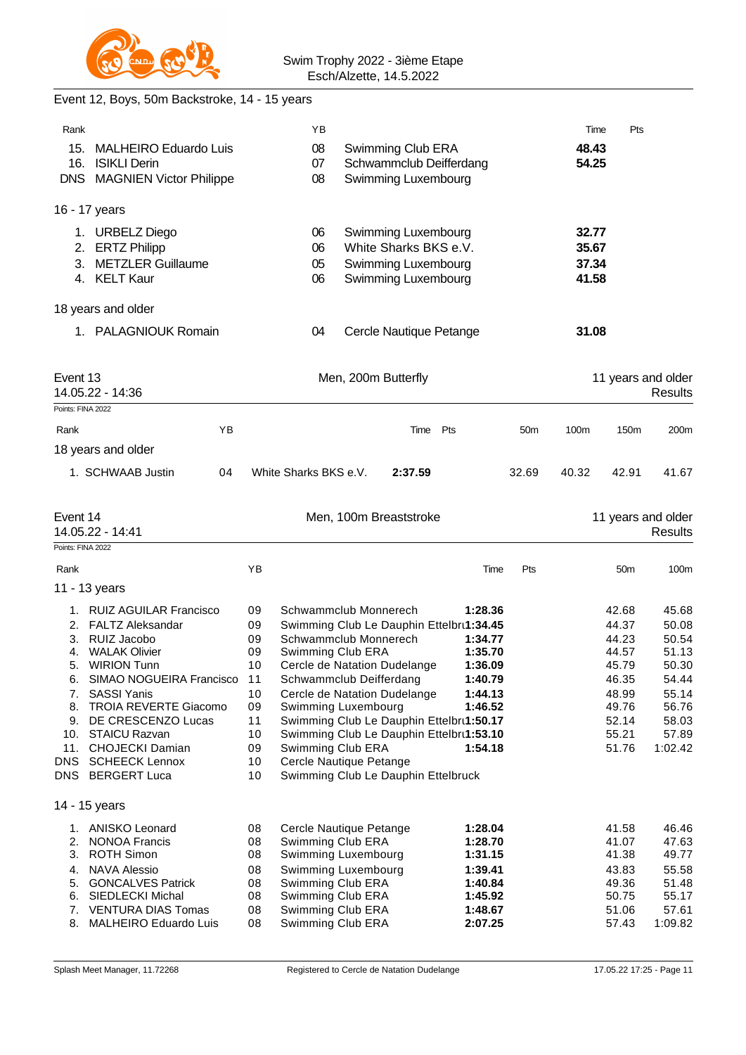

## Event 12, Boys, 50m Backstroke, 14 - 15 years

| Rank              |                                                     |    | ΥB                      |                                              |         |                 | Time           | Pts                |                  |
|-------------------|-----------------------------------------------------|----|-------------------------|----------------------------------------------|---------|-----------------|----------------|--------------------|------------------|
| 15.<br>16.        | <b>MALHEIRO Eduardo Luis</b><br><b>ISIKLI Derin</b> |    | 08<br>07                | Swimming Club ERA<br>Schwammclub Deifferdang |         |                 | 48.43<br>54.25 |                    |                  |
|                   | DNS MAGNIEN Victor Philippe                         |    | 08                      | Swimming Luxembourg                          |         |                 |                |                    |                  |
|                   | 16 - 17 years                                       |    |                         |                                              |         |                 |                |                    |                  |
|                   | 1. URBELZ Diego                                     |    | 06                      | Swimming Luxembourg                          |         |                 | 32.77          |                    |                  |
| 2.                | <b>ERTZ Philipp</b>                                 |    | 06                      | White Sharks BKS e.V.                        |         |                 | 35.67          |                    |                  |
| 3.                | <b>METZLER Guillaume</b><br>4. KELT Kaur            |    | 05<br>06                | Swimming Luxembourg<br>Swimming Luxembourg   |         |                 | 37.34<br>41.58 |                    |                  |
|                   | 18 years and older                                  |    |                         |                                              |         |                 |                |                    |                  |
|                   | 1. PALAGNIOUK Romain                                |    | 04                      | Cercle Nautique Petange                      |         |                 | 31.08          |                    |                  |
|                   |                                                     |    |                         |                                              |         |                 |                |                    |                  |
| Event 13          |                                                     |    |                         | Men, 200m Butterfly                          |         |                 |                | 11 years and older |                  |
| Points: FINA 2022 | 14.05.22 - 14:36                                    |    |                         |                                              |         |                 |                |                    | Results          |
|                   |                                                     |    |                         |                                              |         |                 |                |                    |                  |
| Rank              | YB                                                  |    |                         | Time Pts                                     |         | 50 <sub>m</sub> | 100m           | 150m               | 200m             |
|                   | 18 years and older                                  |    |                         |                                              |         |                 |                |                    |                  |
|                   | 1. SCHWAAB Justin<br>04                             |    | White Sharks BKS e.V.   | 2:37.59                                      |         | 32.69           | 40.32          | 42.91              | 41.67            |
| Event 14          |                                                     |    |                         | Men, 100m Breaststroke                       |         |                 |                | 11 years and older |                  |
|                   | 14.05.22 - 14:41                                    |    |                         |                                              |         |                 |                |                    | Results          |
| Points: FINA 2022 |                                                     |    |                         |                                              |         |                 |                |                    |                  |
| Rank              |                                                     | YB |                         |                                              | Time    | Pts             |                | 50 <sub>m</sub>    | 100 <sub>m</sub> |
|                   | 11 - 13 years                                       |    |                         |                                              |         |                 |                |                    |                  |
|                   | 1. RUIZ AGUILAR Francisco                           | 09 | Schwammclub Monnerech   |                                              | 1:28.36 |                 |                | 42.68              | 45.68            |
|                   | 2. FALTZ Aleksandar                                 | 09 |                         | Swimming Club Le Dauphin Ettelbru1:34.45     |         |                 |                | 44.37              | 50.08            |
|                   | 3. RUIZ Jacobo                                      | 09 | Schwammclub Monnerech   |                                              | 1:34.77 |                 |                | 44.23              | 50.54            |
| 4.                | <b>WALAK Olivier</b>                                | 09 | Swimming Club ERA       |                                              | 1:35.70 |                 |                | 44.57              | 51.13            |
|                   | 5. WIRION Tunn                                      | 10 |                         | Cercle de Natation Dudelange                 | 1:36.09 |                 |                | 45.79              | 50.30            |
| 6.                | SIMAO NOGUEIRA Francisco 11                         |    | Schwammclub Deifferdang |                                              | 1:40.79 |                 |                | 46.35              | 54.44            |
| 7.                | <b>SASSI Yanis</b>                                  | 10 |                         | Cercle de Natation Dudelange                 | 1:44.13 |                 |                | 48.99              | 55.14            |
| 8.                | <b>TROIA REVERTE Giacomo</b>                        | 09 | Swimming Luxembourg     |                                              | 1:46.52 |                 |                | 49.76              | 56.76            |
| 9.                | DE CRESCENZO Lucas                                  | 11 |                         | Swimming Club Le Dauphin Ettelbru1:50.17     |         |                 |                | 52.14              | 58.03            |
| 10.               | <b>STAICU Razvan</b>                                | 10 |                         | Swimming Club Le Dauphin Ettelbrt1:53.10     |         |                 |                | 55.21              | 57.89            |
| 11.               | <b>CHOJECKI Damian</b>                              | 09 | Swimming Club ERA       |                                              | 1:54.18 |                 |                | 51.76              | 1:02.42          |
| DNS               | <b>SCHEECK Lennox</b>                               | 10 | Cercle Nautique Petange |                                              |         |                 |                |                    |                  |
|                   | DNS BERGERT Luca                                    | 10 |                         | Swimming Club Le Dauphin Ettelbruck          |         |                 |                |                    |                  |
|                   | 14 - 15 years                                       |    |                         |                                              |         |                 |                |                    |                  |
|                   | 1. ANISKO Leonard                                   | 08 | Cercle Nautique Petange |                                              | 1:28.04 |                 |                | 41.58              | 46.46            |
| 2.                | <b>NONOA Francis</b>                                | 08 | Swimming Club ERA       |                                              | 1:28.70 |                 |                | 41.07              | 47.63            |
| 3.                | <b>ROTH Simon</b>                                   | 08 | Swimming Luxembourg     |                                              | 1:31.15 |                 |                | 41.38              | 49.77            |
| 4.                | <b>NAVA Alessio</b>                                 | 08 | Swimming Luxembourg     |                                              | 1:39.41 |                 |                | 43.83              | 55.58            |
| 5.                | <b>GONCALVES Patrick</b>                            | 08 | Swimming Club ERA       |                                              | 1:40.84 |                 |                | 49.36              | 51.48            |
| 6.                | SIEDLECKI Michal                                    | 08 | Swimming Club ERA       |                                              | 1:45.92 |                 |                | 50.75              | 55.17            |
| 7.                | <b>VENTURA DIAS Tomas</b>                           | 08 | Swimming Club ERA       |                                              | 1:48.67 |                 |                | 51.06              | 57.61            |
| 8.                | <b>MALHEIRO Eduardo Luis</b>                        | 08 | Swimming Club ERA       |                                              | 2:07.25 |                 |                | 57.43              | 1:09.82          |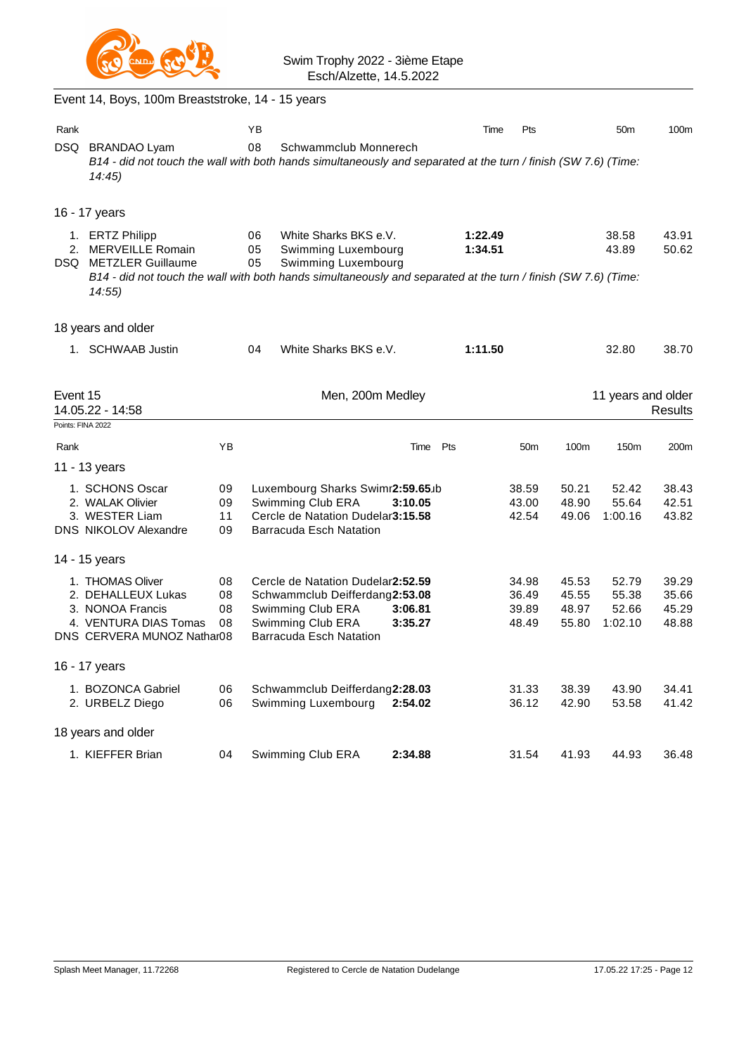

|          | Event 14, Boys, 100m Breaststroke, 14 - 15 years                                                                                                                                        |          |                |                                                                     |                    |                    |                 |                |                    |                |
|----------|-----------------------------------------------------------------------------------------------------------------------------------------------------------------------------------------|----------|----------------|---------------------------------------------------------------------|--------------------|--------------------|-----------------|----------------|--------------------|----------------|
| Rank     |                                                                                                                                                                                         |          | ΥB             |                                                                     |                    | Time               | Pts             |                | 50 <sub>m</sub>    | 100m           |
| DSQ      | <b>BRANDAO Lyam</b><br>B14 - did not touch the wall with both hands simultaneously and separated at the turn / finish (SW 7.6) (Time:<br>14:45)                                         |          | 08             | Schwammclub Monnerech                                               |                    |                    |                 |                |                    |                |
|          | 16 - 17 years                                                                                                                                                                           |          |                |                                                                     |                    |                    |                 |                |                    |                |
| 2.       | 1. ERTZ Philipp<br>MERVEILLE Romain<br>DSQ METZLER Guillaume<br>B14 - did not touch the wall with both hands simultaneously and separated at the turn / finish (SW 7.6) (Time:<br>14:55 |          | 06<br>05<br>05 | White Sharks BKS e.V.<br>Swimming Luxembourg<br>Swimming Luxembourg |                    | 1:22.49<br>1:34.51 |                 |                | 38.58<br>43.89     | 43.91<br>50.62 |
|          | 18 years and older                                                                                                                                                                      |          |                |                                                                     |                    |                    |                 |                |                    |                |
|          | 1. SCHWAAB Justin                                                                                                                                                                       |          | 04             | White Sharks BKS e.V.                                               |                    | 1:11.50            |                 |                | 32.80              | 38.70          |
| Event 15 | 14.05.22 - 14:58                                                                                                                                                                        |          |                | Men, 200m Medley                                                    |                    |                    |                 |                | 11 years and older | <b>Results</b> |
|          | Points: FINA 2022                                                                                                                                                                       |          |                |                                                                     |                    |                    |                 |                |                    |                |
| Rank     |                                                                                                                                                                                         | YB       |                |                                                                     | Time               | Pts                | 50 <sub>m</sub> | 100m           | 150m               | 200m           |
|          | 11 - 13 years                                                                                                                                                                           |          |                |                                                                     |                    |                    |                 |                |                    |                |
|          | 1. SCHONS Oscar<br>2. WALAK Olivier                                                                                                                                                     | 09<br>09 |                | Luxembourg Sharks Swimr2:59.65.b<br>Swimming Club ERA               | 3:10.05            |                    | 38.59<br>43.00  | 50.21<br>48.90 | 52.42<br>55.64     | 38.43<br>42.51 |
|          | 3. WESTER Liam                                                                                                                                                                          | 11       |                | Cercle de Natation Dudelar3:15.58                                   |                    |                    | 42.54           | 49.06          | 1:00.16            | 43.82          |
|          | <b>DNS NIKOLOV Alexandre</b>                                                                                                                                                            | 09       |                | <b>Barracuda Esch Natation</b>                                      |                    |                    |                 |                |                    |                |
|          | 14 - 15 years                                                                                                                                                                           |          |                |                                                                     |                    |                    |                 |                |                    |                |
|          | 1. THOMAS Oliver                                                                                                                                                                        | 08       |                | Cercle de Natation Dudelar2:52.59                                   |                    |                    | 34.98           | 45.53          | 52.79              | 39.29          |
|          | 2. DEHALLEUX Lukas                                                                                                                                                                      | 08       |                | Schwammclub Deifferdang2:53.08                                      |                    |                    | 36.49           | 45.55          | 55.38              | 35.66          |
|          | 3. NONOA Francis<br>4. VENTURA DIAS Tomas                                                                                                                                               | 08<br>08 |                | Swimming Club ERA<br>Swimming Club ERA                              | 3:06.81<br>3:35.27 |                    | 39.89<br>48.49  | 48.97<br>55.80 | 52.66<br>1:02.10   | 45.29<br>48.88 |
|          | DNS CERVERA MUNOZ Nathar08                                                                                                                                                              |          |                | Barracuda Esch Natation                                             |                    |                    |                 |                |                    |                |
|          | 16 - 17 years                                                                                                                                                                           |          |                |                                                                     |                    |                    |                 |                |                    |                |
|          | 1. BOZONCA Gabriel<br>2. URBELZ Diego                                                                                                                                                   | 06<br>06 |                | Schwammclub Deifferdang2:28.03<br>Swimming Luxembourg               | 2:54.02            |                    | 31.33<br>36.12  | 38.39<br>42.90 | 43.90<br>53.58     | 34.41<br>41.42 |
|          | 18 years and older                                                                                                                                                                      |          |                |                                                                     |                    |                    |                 |                |                    |                |
|          | 1. KIEFFER Brian                                                                                                                                                                        | 04       |                | Swimming Club ERA                                                   | 2:34.88            |                    | 31.54           | 41.93          | 44.93              | 36.48          |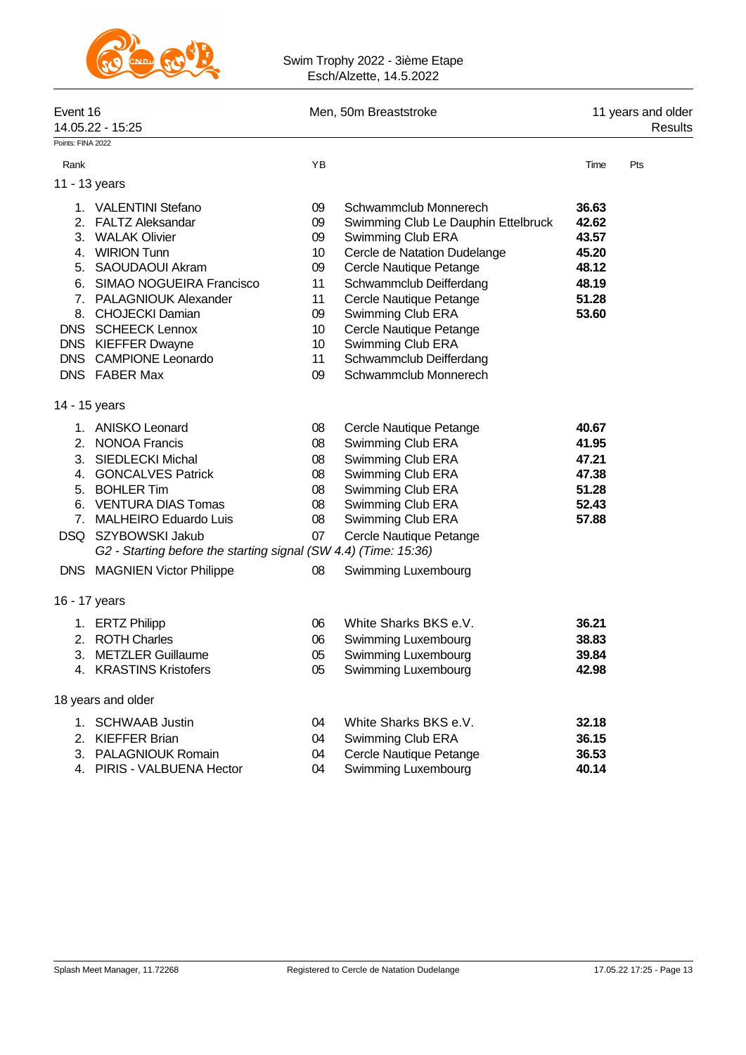

#### Swim Trophy 2022 - 3ième Etape Esch/Alzette, 14.5.2022

| Event 16            | 14.05.22 - 15:25                                                                                                                                                                                                                                                                            |                                                                | Men, 50m Breaststroke                                                                                                                                                                                                                                                                              | 11 years and older<br>Results                                        |     |  |
|---------------------|---------------------------------------------------------------------------------------------------------------------------------------------------------------------------------------------------------------------------------------------------------------------------------------------|----------------------------------------------------------------|----------------------------------------------------------------------------------------------------------------------------------------------------------------------------------------------------------------------------------------------------------------------------------------------------|----------------------------------------------------------------------|-----|--|
| Points: FINA 2022   |                                                                                                                                                                                                                                                                                             |                                                                |                                                                                                                                                                                                                                                                                                    |                                                                      |     |  |
| Rank                |                                                                                                                                                                                                                                                                                             | YB                                                             |                                                                                                                                                                                                                                                                                                    | Time                                                                 | Pts |  |
| 11 - 13 years       |                                                                                                                                                                                                                                                                                             |                                                                |                                                                                                                                                                                                                                                                                                    |                                                                      |     |  |
|                     | 1. VALENTINI Stefano<br>2. FALTZ Aleksandar<br>3. WALAK Olivier<br>4. WIRION Tunn<br>5. SAOUDAOUI Akram<br>6. SIMAO NOGUEIRA Francisco<br>7. PALAGNIOUK Alexander<br>8. CHOJECKI Damian<br><b>DNS SCHEECK Lennox</b><br>DNS KIEFFER Dwayne<br>DNS CAMPIONE Leonardo                         | 09<br>09<br>09<br>10<br>09<br>11<br>11<br>09<br>10<br>10<br>11 | Schwammclub Monnerech<br>Swimming Club Le Dauphin Ettelbruck<br>Swimming Club ERA<br>Cercle de Natation Dudelange<br>Cercle Nautique Petange<br>Schwammclub Deifferdang<br>Cercle Nautique Petange<br>Swimming Club ERA<br>Cercle Nautique Petange<br>Swimming Club ERA<br>Schwammclub Deifferdang | 36.63<br>42.62<br>43.57<br>45.20<br>48.12<br>48.19<br>51.28<br>53.60 |     |  |
|                     | DNS FABER Max                                                                                                                                                                                                                                                                               | 09                                                             | Schwammclub Monnerech                                                                                                                                                                                                                                                                              |                                                                      |     |  |
| 14 - 15 years       |                                                                                                                                                                                                                                                                                             |                                                                |                                                                                                                                                                                                                                                                                                    |                                                                      |     |  |
| 3.<br>7.            | 1. ANISKO Leonard<br>2. NONOA Francis<br><b>SIEDLECKI Michal</b><br>4. GONCALVES Patrick<br>5. BOHLER Tim<br>6. VENTURA DIAS Tomas<br><b>MALHEIRO Eduardo Luis</b><br>DSQ SZYBOWSKI Jakub<br>G2 - Starting before the starting signal (SW 4.4) (Time: 15:36)<br>DNS MAGNIEN Victor Philippe | 08<br>08<br>08<br>08<br>08<br>08<br>08<br>07<br>08             | Cercle Nautique Petange<br>Swimming Club ERA<br>Swimming Club ERA<br>Swimming Club ERA<br>Swimming Club ERA<br>Swimming Club ERA<br>Swimming Club ERA<br>Cercle Nautique Petange<br>Swimming Luxembourg                                                                                            | 40.67<br>41.95<br>47.21<br>47.38<br>51.28<br>52.43<br>57.88          |     |  |
|                     |                                                                                                                                                                                                                                                                                             |                                                                |                                                                                                                                                                                                                                                                                                    |                                                                      |     |  |
| 16 - 17 years<br>3. | 1. ERTZ Philipp<br>2. ROTH Charles<br><b>METZLER Guillaume</b><br>4. KRASTINS Kristofers                                                                                                                                                                                                    | 06<br>06<br>05<br>05                                           | White Sharks BKS e.V.<br>Swimming Luxembourg<br>Swimming Luxembourg<br>Swimming Luxembourg                                                                                                                                                                                                         | 36.21<br>38.83<br>39.84<br>42.98                                     |     |  |
|                     | 18 years and older                                                                                                                                                                                                                                                                          |                                                                |                                                                                                                                                                                                                                                                                                    |                                                                      |     |  |
| 2.                  | 1. SCHWAAB Justin<br><b>KIEFFER Brian</b><br>3. PALAGNIOUK Romain<br>4. PIRIS - VALBUENA Hector                                                                                                                                                                                             | 04<br>04<br>04<br>04                                           | White Sharks BKS e.V.<br>Swimming Club ERA<br>Cercle Nautique Petange<br>Swimming Luxembourg                                                                                                                                                                                                       | 32.18<br>36.15<br>36.53<br>40.14                                     |     |  |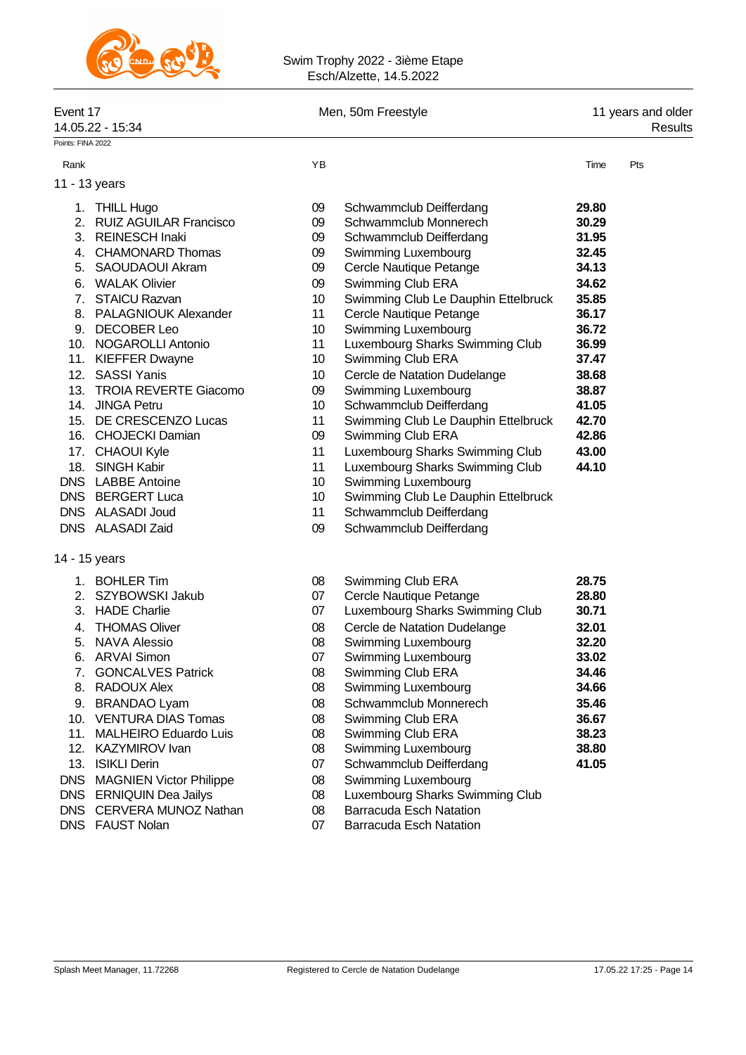

#### Swim Trophy 2022 - 3ième Etape Esch/Alzette, 14.5.2022

| Event 17<br>14.05.22 - 15:34 |                              |    | Men, 50m Freestyle                  |       | 11 years and older<br>Results |
|------------------------------|------------------------------|----|-------------------------------------|-------|-------------------------------|
| Points: FINA 2022            |                              |    |                                     |       |                               |
| Rank                         |                              | YB |                                     | Time  | Pts                           |
|                              | 11 - 13 years                |    |                                     |       |                               |
|                              | 1. THILL Hugo                | 09 | Schwammclub Deifferdang             | 29.80 |                               |
|                              | 2. RUIZ AGUILAR Francisco    | 09 | Schwammclub Monnerech               | 30.29 |                               |
|                              | 3. REINESCH Inaki            | 09 | Schwammclub Deifferdang             | 31.95 |                               |
|                              | 4. CHAMONARD Thomas          | 09 | Swimming Luxembourg                 | 32.45 |                               |
|                              | 5. SAOUDAOUI Akram           | 09 | Cercle Nautique Petange             | 34.13 |                               |
|                              | 6. WALAK Olivier             | 09 | Swimming Club ERA                   | 34.62 |                               |
|                              | 7. STAICU Razvan             | 10 | Swimming Club Le Dauphin Ettelbruck | 35.85 |                               |
|                              | 8. PALAGNIOUK Alexander      | 11 | Cercle Nautique Petange             | 36.17 |                               |
|                              | 9. DECOBER Leo               | 10 | Swimming Luxembourg                 | 36.72 |                               |
|                              | 10. NOGAROLLI Antonio        | 11 | Luxembourg Sharks Swimming Club     | 36.99 |                               |
|                              | 11. KIEFFER Dwayne           | 10 | Swimming Club ERA                   | 37.47 |                               |
| 12.                          | <b>SASSI Yanis</b>           | 10 | Cercle de Natation Dudelange        | 38.68 |                               |
| 13.                          | <b>TROIA REVERTE Giacomo</b> | 09 | Swimming Luxembourg                 | 38.87 |                               |
|                              | 14. JINGA Petru              | 10 | Schwammclub Deifferdang             | 41.05 |                               |
|                              | 15. DE CRESCENZO Lucas       | 11 | Swimming Club Le Dauphin Ettelbruck | 42.70 |                               |
|                              | 16. CHOJECKI Damian          | 09 | Swimming Club ERA                   | 42.86 |                               |
|                              | 17. CHAOUI Kyle              | 11 | Luxembourg Sharks Swimming Club     | 43.00 |                               |
|                              | 18. SINGH Kabir              | 11 | Luxembourg Sharks Swimming Club     | 44.10 |                               |
|                              | DNS LABBE Antoine            | 10 | Swimming Luxembourg                 |       |                               |
|                              | DNS BERGERT Luca             | 10 | Swimming Club Le Dauphin Ettelbruck |       |                               |
|                              | DNS ALASADI Joud             | 11 | Schwammclub Deifferdang             |       |                               |
|                              | DNS ALASADI Zaid             | 09 | Schwammclub Deifferdang             |       |                               |
|                              | 14 - 15 years                |    |                                     |       |                               |
|                              | 1. BOHLER Tim                | 08 | Swimming Club ERA                   | 28.75 |                               |
|                              | 2. SZYBOWSKI Jakub           | 07 | Cercle Nautique Petange             | 28.80 |                               |
|                              | 3. HADE Charlie              | 07 | Luxembourg Sharks Swimming Club     | 30.71 |                               |
| 4.                           | <b>THOMAS Oliver</b>         | 08 | Cercle de Natation Dudelange        | 32.01 |                               |
|                              | 5. NAVA Alessio              | 08 | Swimming Luxembourg                 | 32.20 |                               |
|                              | 6. ARVAI Simon               | 07 | Swimming Luxembourg                 | 33.02 |                               |
|                              | 7. GONCALVES Patrick         | 08 | Swimming Club ERA                   | 34.46 |                               |
|                              | 8. RADOUX Alex               | 08 | Swimming Luxembourg                 | 34.66 |                               |
|                              | 9. BRANDAO Lyam              | 08 | Schwammclub Monnerech               | 35.46 |                               |
|                              | 10. VENTURA DIAS Tomas       | 08 | Swimming Club ERA                   | 36.67 |                               |
|                              | 11. MALHEIRO Eduardo Luis    | 08 | Swimming Club ERA                   | 38.23 |                               |
|                              | 12. KAZYMIROV Ivan           | 08 | Swimming Luxembourg                 | 38.80 |                               |
|                              | 13. ISIKLI Derin             | 07 | Schwammclub Deifferdang             | 41.05 |                               |
|                              | DNS MAGNIEN Victor Philippe  | 08 | Swimming Luxembourg                 |       |                               |
|                              | DNS ERNIQUIN Dea Jailys      | 08 | Luxembourg Sharks Swimming Club     |       |                               |

- 
- DNS CERVERA MUNOZ Nathan 08 Barracuda Esch Natation<br>DNS FAUST Nolan 07 Barracuda Esch Natation
- 

07 Barracuda Esch Natation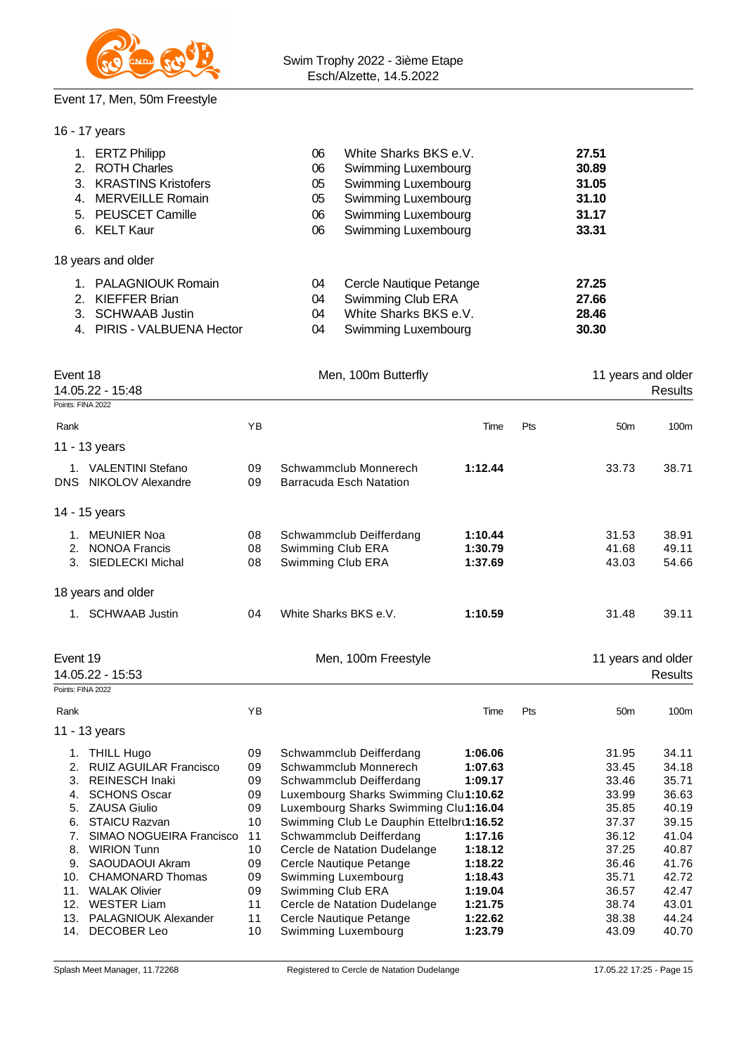

### Event 17, Men, 50m Freestyle

| 16 - 17 years                                                                                                                                                                                                                                                                |                                                    |                                                                                                                                                                              |                                                                                                                                                                                                                                                                                                  |                                                                |     |                                                                               |                                                                               |
|------------------------------------------------------------------------------------------------------------------------------------------------------------------------------------------------------------------------------------------------------------------------------|----------------------------------------------------|------------------------------------------------------------------------------------------------------------------------------------------------------------------------------|--------------------------------------------------------------------------------------------------------------------------------------------------------------------------------------------------------------------------------------------------------------------------------------------------|----------------------------------------------------------------|-----|-------------------------------------------------------------------------------|-------------------------------------------------------------------------------|
| 1. ERTZ Philipp<br>2. ROTH Charles<br>3. KRASTINS Kristofers<br>4. MERVEILLE Romain<br>5. PEUSCET Camille<br>6. KELT Kaur                                                                                                                                                    |                                                    | White Sharks BKS e.V.<br>06<br>06<br>Swimming Luxembourg<br>Swimming Luxembourg<br>05<br>Swimming Luxembourg<br>05<br>Swimming Luxembourg<br>06<br>Swimming Luxembourg<br>06 |                                                                                                                                                                                                                                                                                                  |                                                                |     | 27.51<br>30.89<br>31.05<br>31.10<br>31.17<br>33.31                            |                                                                               |
| 18 years and older                                                                                                                                                                                                                                                           |                                                    |                                                                                                                                                                              |                                                                                                                                                                                                                                                                                                  |                                                                |     |                                                                               |                                                                               |
| 1. PALAGNIOUK Romain<br><b>KIEFFER Brian</b><br>2.<br>3. SCHWAAB Justin<br>4. PIRIS - VALBUENA Hector                                                                                                                                                                        |                                                    | 04<br>04<br>04<br>04                                                                                                                                                         | Cercle Nautique Petange<br>Swimming Club ERA<br>White Sharks BKS e.V.<br>Swimming Luxembourg                                                                                                                                                                                                     |                                                                |     | 27.25<br>27.66<br>28.46<br>30.30                                              |                                                                               |
| Event 18<br>14.05.22 - 15:48                                                                                                                                                                                                                                                 |                                                    |                                                                                                                                                                              | Men, 100m Butterfly                                                                                                                                                                                                                                                                              |                                                                |     | 11 years and older                                                            | Results                                                                       |
| Points: FINA 2022                                                                                                                                                                                                                                                            |                                                    |                                                                                                                                                                              |                                                                                                                                                                                                                                                                                                  |                                                                |     |                                                                               |                                                                               |
| Rank                                                                                                                                                                                                                                                                         | YB                                                 |                                                                                                                                                                              |                                                                                                                                                                                                                                                                                                  | Time                                                           | Pts | 50 <sub>m</sub>                                                               | 100 <sub>m</sub>                                                              |
| 11 - 13 years                                                                                                                                                                                                                                                                |                                                    |                                                                                                                                                                              |                                                                                                                                                                                                                                                                                                  |                                                                |     |                                                                               |                                                                               |
| 1. VALENTINI Stefano<br>DNS NIKOLOV Alexandre                                                                                                                                                                                                                                | 09<br>09                                           |                                                                                                                                                                              | 1:12.44<br>Schwammclub Monnerech<br><b>Barracuda Esch Natation</b>                                                                                                                                                                                                                               |                                                                |     | 33.73                                                                         | 38.71                                                                         |
| 14 - 15 years                                                                                                                                                                                                                                                                |                                                    |                                                                                                                                                                              |                                                                                                                                                                                                                                                                                                  |                                                                |     |                                                                               |                                                                               |
| 1. MEUNIER Noa<br>2. NONOA Francis<br>3. SIEDLECKI Michal                                                                                                                                                                                                                    | 08<br>08<br>08                                     | Swimming Club ERA<br>Swimming Club ERA                                                                                                                                       | Schwammclub Deifferdang                                                                                                                                                                                                                                                                          | 1:10.44<br>1:30.79<br>1:37.69                                  |     | 31.53<br>41.68<br>43.03                                                       | 38.91<br>49.11<br>54.66                                                       |
| 18 years and older                                                                                                                                                                                                                                                           |                                                    |                                                                                                                                                                              |                                                                                                                                                                                                                                                                                                  |                                                                |     |                                                                               |                                                                               |
| 1. SCHWAAB Justin                                                                                                                                                                                                                                                            | 04                                                 |                                                                                                                                                                              | White Sharks BKS e.V.                                                                                                                                                                                                                                                                            | 1:10.59                                                        |     | 31.48                                                                         | 39.11                                                                         |
| Event 19<br>14.05.22 - 15:53                                                                                                                                                                                                                                                 |                                                    |                                                                                                                                                                              | Men, 100m Freestyle                                                                                                                                                                                                                                                                              |                                                                |     | 11 years and older                                                            | Results                                                                       |
| Points: FINA 2022                                                                                                                                                                                                                                                            |                                                    |                                                                                                                                                                              |                                                                                                                                                                                                                                                                                                  |                                                                |     |                                                                               |                                                                               |
| Rank                                                                                                                                                                                                                                                                         | YΒ                                                 |                                                                                                                                                                              |                                                                                                                                                                                                                                                                                                  | Time                                                           | Pts | 50 <sub>m</sub>                                                               | 100 <sub>m</sub>                                                              |
| 11 - 13 years                                                                                                                                                                                                                                                                |                                                    |                                                                                                                                                                              |                                                                                                                                                                                                                                                                                                  |                                                                |     |                                                                               |                                                                               |
| <b>THILL Hugo</b><br>1.<br><b>RUIZ AGUILAR Francisco</b><br>2.<br><b>REINESCH Inaki</b><br>3.<br><b>SCHONS Oscar</b><br>4.<br><b>ZAUSA Giulio</b><br>5.<br><b>STAICU Razvan</b><br>6.<br>SIMAO NOGUEIRA Francisco<br>7.<br>8.<br><b>WIRION Tunn</b><br>SAOUDAOUI Akram<br>9. | 09<br>09<br>09<br>09<br>09<br>10<br>11<br>10<br>09 |                                                                                                                                                                              | Schwammclub Deifferdang<br>Schwammclub Monnerech<br>Schwammclub Deifferdang<br>Luxembourg Sharks Swimming Clul1:10.62<br>Luxembourg Sharks Swimming Clu1:16.04<br>Swimming Club Le Dauphin Ettelbrt1:16.52<br>Schwammclub Deifferdang<br>Cercle de Natation Dudelange<br>Cercle Nautique Petange | 1:06.06<br>1:07.63<br>1:09.17<br>1:17.16<br>1:18.12<br>1:18.22 |     | 31.95<br>33.45<br>33.46<br>33.99<br>35.85<br>37.37<br>36.12<br>37.25<br>36.46 | 34.11<br>34.18<br>35.71<br>36.63<br>40.19<br>39.15<br>41.04<br>40.87<br>41.76 |
| <b>CHAMONARD Thomas</b><br>10.<br><b>WALAK Olivier</b><br>11.                                                                                                                                                                                                                | 09<br>09                                           | Swimming Club ERA                                                                                                                                                            | Swimming Luxembourg                                                                                                                                                                                                                                                                              | 1:18.43<br>1:19.04                                             |     | 35.71<br>36.57                                                                | 42.72<br>42.47                                                                |
| 12. WESTER Liam                                                                                                                                                                                                                                                              | 11                                                 |                                                                                                                                                                              | Cercle de Natation Dudelange                                                                                                                                                                                                                                                                     | 1:21.75                                                        |     | 38.74                                                                         | 43.01                                                                         |

13. PALAGNIOUK Alexander 11 Cercle Nautique Petange **1:22.62** 38.38 44.24 14. DECOBER Leo 10 Swimming Luxembourg **1:23.79** 43.09 40.70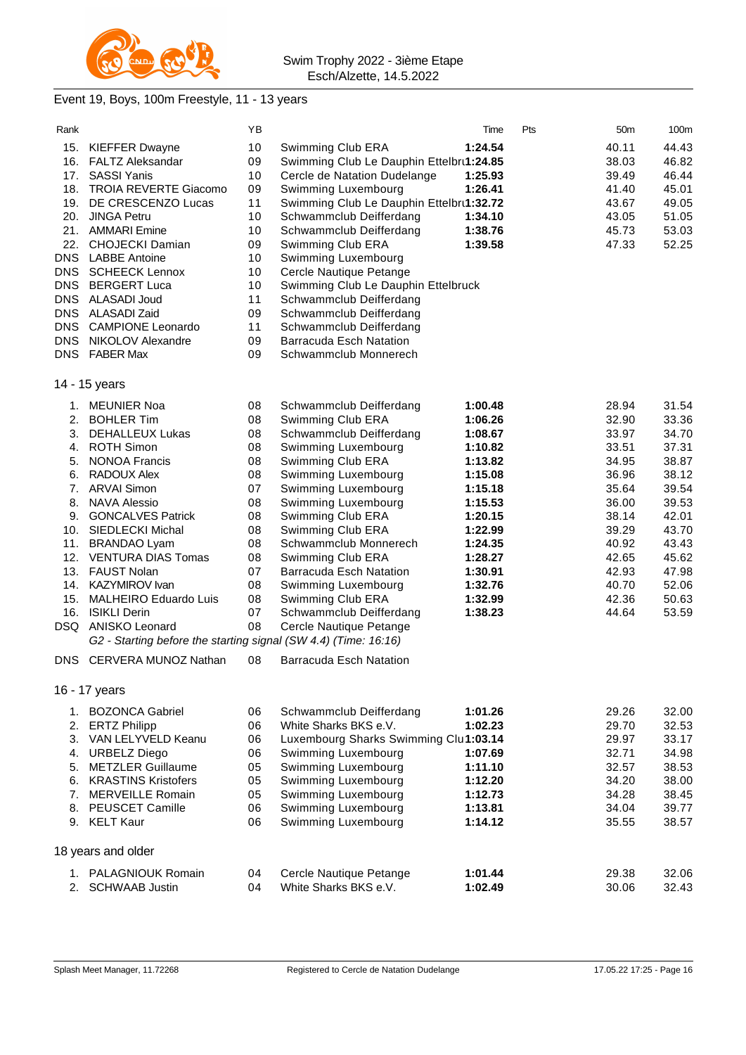

## Event 19, Boys, 100m Freestyle, 11 - 13 years

| Rank                                                                                            |                                                                                                                                                                                                                                                                                                                                                                                                                                                                             | ΥB                                                                                                       |                                                                                                                                                                                                                                                                                                                                                                                                                                                        | Time                                                                                                                                                                         | Pts | 50 <sub>m</sub>                                                                                                                              | 100m                                                                                                                                         |
|-------------------------------------------------------------------------------------------------|-----------------------------------------------------------------------------------------------------------------------------------------------------------------------------------------------------------------------------------------------------------------------------------------------------------------------------------------------------------------------------------------------------------------------------------------------------------------------------|----------------------------------------------------------------------------------------------------------|--------------------------------------------------------------------------------------------------------------------------------------------------------------------------------------------------------------------------------------------------------------------------------------------------------------------------------------------------------------------------------------------------------------------------------------------------------|------------------------------------------------------------------------------------------------------------------------------------------------------------------------------|-----|----------------------------------------------------------------------------------------------------------------------------------------------|----------------------------------------------------------------------------------------------------------------------------------------------|
| 15.<br>16.<br>17.<br>18.<br>19.<br>20.<br>22.<br><b>DNS</b><br>DNS.<br><b>DNS</b><br><b>DNS</b> | <b>KIEFFER Dwayne</b><br><b>FALTZ Aleksandar</b><br><b>SASSI Yanis</b><br><b>TROIA REVERTE Giacomo</b><br>DE CRESCENZO Lucas<br><b>JINGA Petru</b><br>21. AMMARI Emine<br><b>CHOJECKI Damian</b><br><b>LABBE Antoine</b><br><b>SCHEECK Lennox</b><br><b>BERGERT Luca</b><br>DNS ALASADI Joud<br>ALASADI Zaid                                                                                                                                                                | 10<br>09<br>10<br>09<br>11<br>10<br>10<br>09<br>10<br>10<br>10<br>11<br>09                               | Swimming Club ERA<br>Swimming Club Le Dauphin Ettelbrt1:24.85<br>Cercle de Natation Dudelange<br>Swimming Luxembourg<br>Swimming Club Le Dauphin Ettelbru1:32.72<br>Schwammclub Deifferdang<br>Schwammclub Deifferdang<br>Swimming Club ERA<br>Swimming Luxembourg<br>Cercle Nautique Petange<br>Swimming Club Le Dauphin Ettelbruck<br>Schwammclub Deifferdang<br>Schwammclub Deifferdang                                                             | 1:24.54<br>1:25.93<br>1:26.41<br>1:34.10<br>1:38.76<br>1:39.58                                                                                                               |     | 40.11<br>38.03<br>39.49<br>41.40<br>43.67<br>43.05<br>45.73<br>47.33                                                                         | 44.43<br>46.82<br>46.44<br>45.01<br>49.05<br>51.05<br>53.03<br>52.25                                                                         |
| DNS.                                                                                            | <b>CAMPIONE Leonardo</b>                                                                                                                                                                                                                                                                                                                                                                                                                                                    | 11                                                                                                       | Schwammclub Deifferdang                                                                                                                                                                                                                                                                                                                                                                                                                                |                                                                                                                                                                              |     |                                                                                                                                              |                                                                                                                                              |
| DNS.                                                                                            | NIKOLOV Alexandre<br>DNS FABER Max                                                                                                                                                                                                                                                                                                                                                                                                                                          | 09<br>09                                                                                                 | <b>Barracuda Esch Natation</b><br>Schwammclub Monnerech                                                                                                                                                                                                                                                                                                                                                                                                |                                                                                                                                                                              |     |                                                                                                                                              |                                                                                                                                              |
|                                                                                                 | 14 - 15 years                                                                                                                                                                                                                                                                                                                                                                                                                                                               |                                                                                                          |                                                                                                                                                                                                                                                                                                                                                                                                                                                        |                                                                                                                                                                              |     |                                                                                                                                              |                                                                                                                                              |
| 2.<br>3.<br>4.<br>5.<br>6.<br>8.<br>10.<br>11.<br>12.<br>13.<br>15.<br>16.<br>DSQ.<br>DNS       | 1. MEUNIER Noa<br><b>BOHLER Tim</b><br>DEHALLEUX Lukas<br><b>ROTH Simon</b><br><b>NONOA Francis</b><br>RADOUX Alex<br>7. ARVAI Simon<br><b>NAVA Alessio</b><br>9. GONCALVES Patrick<br><b>SIEDLECKI Michal</b><br><b>BRANDAO Lyam</b><br><b>VENTURA DIAS Tomas</b><br>FAUST Nolan<br>14. KAZYMIROV Ivan<br><b>MALHEIRO Eduardo Luis</b><br><b>ISIKLI Derin</b><br>ANISKO Leonard<br>G2 - Starting before the starting signal (SW 4.4) (Time: 16:16)<br>CERVERA MUNOZ Nathan | 08<br>08<br>08<br>08<br>08<br>08<br>07<br>08<br>08<br>08<br>08<br>08<br>07<br>08<br>08<br>07<br>08<br>08 | Schwammclub Deifferdang<br>Swimming Club ERA<br>Schwammclub Deifferdang<br>Swimming Luxembourg<br>Swimming Club ERA<br>Swimming Luxembourg<br>Swimming Luxembourg<br>Swimming Luxembourg<br>Swimming Club ERA<br>Swimming Club ERA<br>Schwammclub Monnerech<br>Swimming Club ERA<br><b>Barracuda Esch Natation</b><br>Swimming Luxembourg<br>Swimming Club ERA<br>Schwammclub Deifferdang<br>Cercle Nautique Petange<br><b>Barracuda Esch Natation</b> | 1:00.48<br>1:06.26<br>1:08.67<br>1:10.82<br>1:13.82<br>1:15.08<br>1:15.18<br>1:15.53<br>1:20.15<br>1:22.99<br>1:24.35<br>1:28.27<br>1:30.91<br>1:32.76<br>1:32.99<br>1:38.23 |     | 28.94<br>32.90<br>33.97<br>33.51<br>34.95<br>36.96<br>35.64<br>36.00<br>38.14<br>39.29<br>40.92<br>42.65<br>42.93<br>40.70<br>42.36<br>44.64 | 31.54<br>33.36<br>34.70<br>37.31<br>38.87<br>38.12<br>39.54<br>39.53<br>42.01<br>43.70<br>43.43<br>45.62<br>47.98<br>52.06<br>50.63<br>53.59 |
|                                                                                                 | 16 - 17 years                                                                                                                                                                                                                                                                                                                                                                                                                                                               |                                                                                                          |                                                                                                                                                                                                                                                                                                                                                                                                                                                        |                                                                                                                                                                              |     |                                                                                                                                              |                                                                                                                                              |
| 2.<br>3.<br>4.<br>5.<br>6.<br>7.<br>8.                                                          | 1. BOZONCA Gabriel<br><b>ERTZ Philipp</b><br>VAN LELYVELD Keanu<br><b>URBELZ Diego</b><br><b>METZLER Guillaume</b><br><b>KRASTINS Kristofers</b><br><b>MERVEILLE Romain</b><br>PEUSCET Camille<br>9. KELT Kaur                                                                                                                                                                                                                                                              | 06<br>06<br>06<br>06<br>05<br>05<br>05<br>06<br>06                                                       | Schwammclub Deifferdang<br>White Sharks BKS e.V.<br>Luxembourg Sharks Swimming Clul1:03.14<br>Swimming Luxembourg<br>Swimming Luxembourg<br>Swimming Luxembourg<br>Swimming Luxembourg<br>Swimming Luxembourg<br>Swimming Luxembourg                                                                                                                                                                                                                   | 1:01.26<br>1:02.23<br>1:07.69<br>1:11.10<br>1:12.20<br>1:12.73<br>1:13.81<br>1:14.12                                                                                         |     | 29.26<br>29.70<br>29.97<br>32.71<br>32.57<br>34.20<br>34.28<br>34.04<br>35.55                                                                | 32.00<br>32.53<br>33.17<br>34.98<br>38.53<br>38.00<br>38.45<br>39.77<br>38.57                                                                |
|                                                                                                 | 18 years and older                                                                                                                                                                                                                                                                                                                                                                                                                                                          |                                                                                                          |                                                                                                                                                                                                                                                                                                                                                                                                                                                        |                                                                                                                                                                              |     |                                                                                                                                              |                                                                                                                                              |
|                                                                                                 | 1. PALAGNIOUK Romain<br>2. SCHWAAB Justin                                                                                                                                                                                                                                                                                                                                                                                                                                   | 04<br>04                                                                                                 | Cercle Nautique Petange<br>White Sharks BKS e.V.                                                                                                                                                                                                                                                                                                                                                                                                       | 1:01.44<br>1:02.49                                                                                                                                                           |     | 29.38<br>30.06                                                                                                                               | 32.06<br>32.43                                                                                                                               |